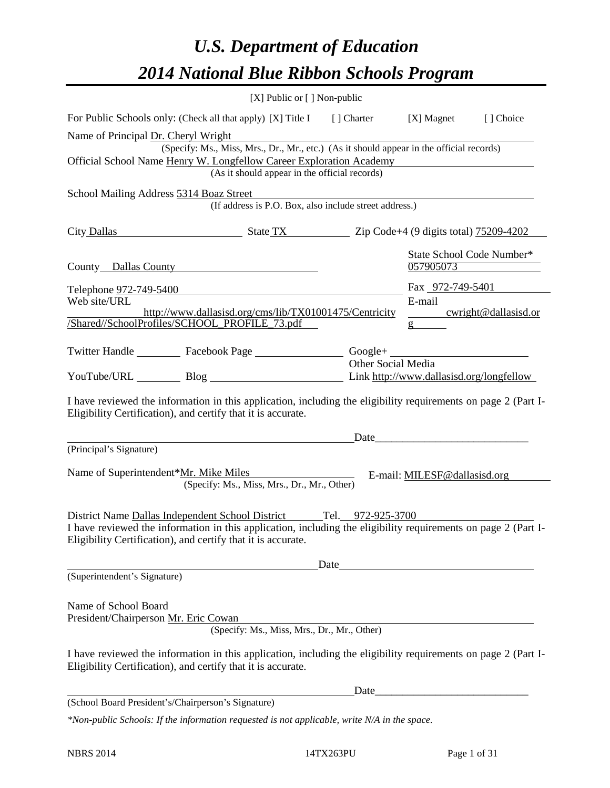# *U.S. Department of Education 2014 National Blue Ribbon Schools Program*

|                                                                                                                                                                                      | [X] Public or [] Non-public                                                              |                    |                                        |                      |
|--------------------------------------------------------------------------------------------------------------------------------------------------------------------------------------|------------------------------------------------------------------------------------------|--------------------|----------------------------------------|----------------------|
| For Public Schools only: (Check all that apply) [X] Title I [] Charter [X] Magnet                                                                                                    |                                                                                          |                    |                                        | [] Choice            |
| Name of Principal Dr. Cheryl Wright                                                                                                                                                  | (Specify: Ms., Miss, Mrs., Dr., Mr., etc.) (As it should appear in the official records) |                    |                                        |                      |
| Official School Name Henry W. Longfellow Career Exploration Academy                                                                                                                  | (As it should appear in the official records)                                            |                    |                                        |                      |
| School Mailing Address 5314 Boaz Street                                                                                                                                              | oaz Street<br>(If address is P.O. Box, also include street address.)                     |                    |                                        |                      |
| City Dallas State TX Zip Code+4 (9 digits total) 75209-4202                                                                                                                          |                                                                                          |                    |                                        |                      |
| County Dallas County                                                                                                                                                                 |                                                                                          |                    | State School Code Number*<br>057905073 |                      |
| Telephone <u>972-749-5400</u>                                                                                                                                                        |                                                                                          |                    | Fax 972-749-5401                       |                      |
| Web site/URL                                                                                                                                                                         |                                                                                          |                    | E-mail                                 |                      |
| /Shared//SchoolProfiles/SCHOOL_PROFILE_73.pdf                                                                                                                                        | http://www.dallasisd.org/cms/lib/TX01001475/Centricity                                   |                    | g                                      | cwright@dallasisd.or |
| Twitter Handle ___________ Facebook Page __________________ Google+ ________________________________                                                                                 |                                                                                          | Other Social Media |                                        |                      |
| YouTube/URL Blog Blog Link http://www.dallasisd.org/longfellow                                                                                                                       |                                                                                          |                    |                                        |                      |
| I have reviewed the information in this application, including the eligibility requirements on page 2 (Part I-<br>Eligibility Certification), and certify that it is accurate.       |                                                                                          |                    |                                        |                      |
| (Principal's Signature)                                                                                                                                                              |                                                                                          |                    |                                        |                      |
| Name of Superintendent*Mr. Mike Miles                                                                                                                                                | (Specify: Ms., Miss, Mrs., Dr., Mr., Other)                                              |                    | E-mail: MILESF@dallasisd.org           |                      |
| District Name Dallas Independent School District Tel. 972-925-3700<br>I have reviewed the information in this application, including the eligibility requirements on page 2 (Part I- |                                                                                          |                    |                                        |                      |
| Eligibility Certification), and certify that it is accurate.                                                                                                                         |                                                                                          |                    |                                        |                      |
|                                                                                                                                                                                      |                                                                                          | Date               |                                        |                      |
| (Superintendent's Signature)                                                                                                                                                         |                                                                                          |                    |                                        |                      |
| Name of School Board<br>President/Chairperson Mr. Eric Cowan                                                                                                                         | (Specify: Ms., Miss, Mrs., Dr., Mr., Other)                                              |                    |                                        |                      |
| I have reviewed the information in this application, including the eligibility requirements on page 2 (Part I-<br>Eligibility Certification), and certify that it is accurate.       |                                                                                          |                    |                                        |                      |
|                                                                                                                                                                                      |                                                                                          | Date               |                                        |                      |
| (School Board President's/Chairperson's Signature)                                                                                                                                   |                                                                                          |                    |                                        |                      |
| *Non-public Schools: If the information requested is not applicable, write N/A in the space.                                                                                         |                                                                                          |                    |                                        |                      |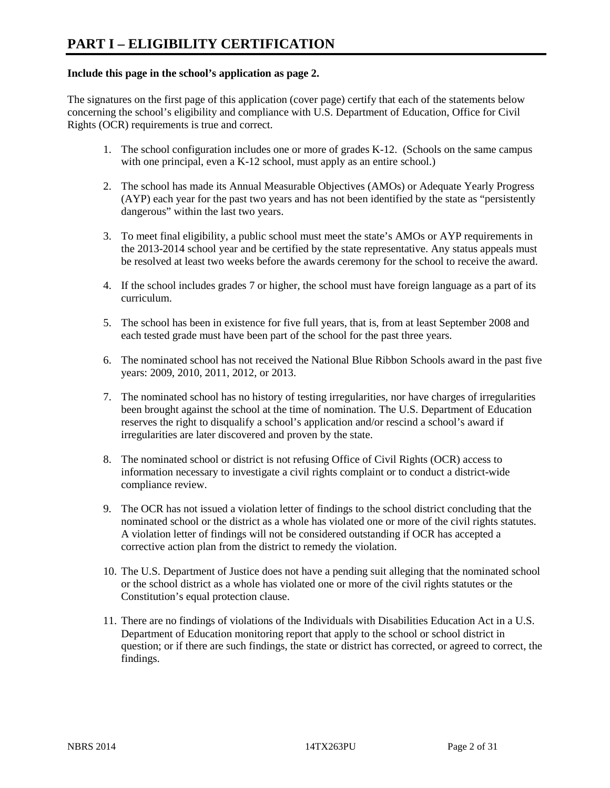# **Include this page in the school's application as page 2.**

The signatures on the first page of this application (cover page) certify that each of the statements below concerning the school's eligibility and compliance with U.S. Department of Education, Office for Civil Rights (OCR) requirements is true and correct.

- 1. The school configuration includes one or more of grades K-12. (Schools on the same campus with one principal, even a K-12 school, must apply as an entire school.)
- 2. The school has made its Annual Measurable Objectives (AMOs) or Adequate Yearly Progress (AYP) each year for the past two years and has not been identified by the state as "persistently dangerous" within the last two years.
- 3. To meet final eligibility, a public school must meet the state's AMOs or AYP requirements in the 2013-2014 school year and be certified by the state representative. Any status appeals must be resolved at least two weeks before the awards ceremony for the school to receive the award.
- 4. If the school includes grades 7 or higher, the school must have foreign language as a part of its curriculum.
- 5. The school has been in existence for five full years, that is, from at least September 2008 and each tested grade must have been part of the school for the past three years.
- 6. The nominated school has not received the National Blue Ribbon Schools award in the past five years: 2009, 2010, 2011, 2012, or 2013.
- 7. The nominated school has no history of testing irregularities, nor have charges of irregularities been brought against the school at the time of nomination. The U.S. Department of Education reserves the right to disqualify a school's application and/or rescind a school's award if irregularities are later discovered and proven by the state.
- 8. The nominated school or district is not refusing Office of Civil Rights (OCR) access to information necessary to investigate a civil rights complaint or to conduct a district-wide compliance review.
- 9. The OCR has not issued a violation letter of findings to the school district concluding that the nominated school or the district as a whole has violated one or more of the civil rights statutes. A violation letter of findings will not be considered outstanding if OCR has accepted a corrective action plan from the district to remedy the violation.
- 10. The U.S. Department of Justice does not have a pending suit alleging that the nominated school or the school district as a whole has violated one or more of the civil rights statutes or the Constitution's equal protection clause.
- 11. There are no findings of violations of the Individuals with Disabilities Education Act in a U.S. Department of Education monitoring report that apply to the school or school district in question; or if there are such findings, the state or district has corrected, or agreed to correct, the findings.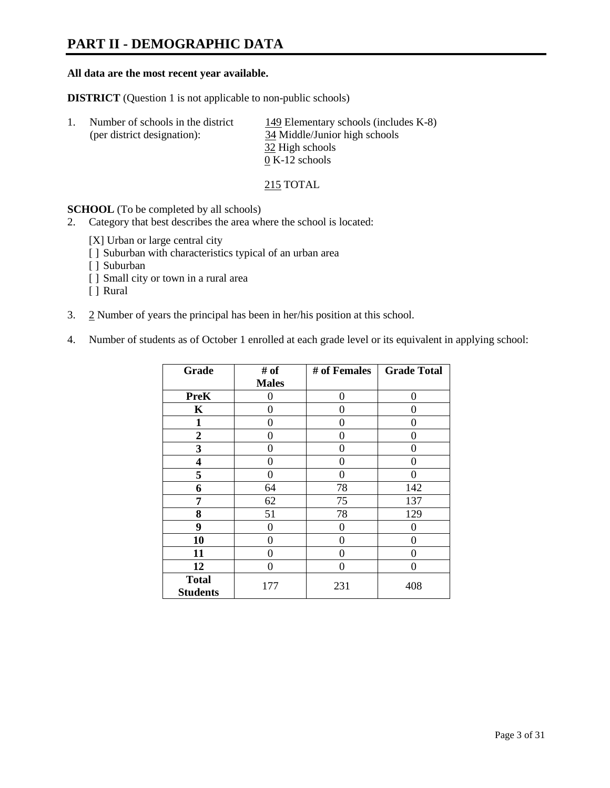# **PART II - DEMOGRAPHIC DATA**

## **All data are the most recent year available.**

**DISTRICT** (Question 1 is not applicable to non-public schools)

| -1. | Number of schools in the district | 149 Elementary schools (includes K-8)            |
|-----|-----------------------------------|--------------------------------------------------|
|     | (per district designation):       | 34 Middle/Junior high schools<br>32 High schools |
|     |                                   | $0 K-12$ schools                                 |

215 TOTAL

**SCHOOL** (To be completed by all schools)

- 2. Category that best describes the area where the school is located:
	- [X] Urban or large central city
	- [ ] Suburban with characteristics typical of an urban area
	- [ ] Suburban
	- [ ] Small city or town in a rural area
	- [ ] Rural
- 3. 2 Number of years the principal has been in her/his position at this school.
- 4. Number of students as of October 1 enrolled at each grade level or its equivalent in applying school:

| Grade            | # of         | # of Females | <b>Grade Total</b> |  |
|------------------|--------------|--------------|--------------------|--|
|                  | <b>Males</b> |              |                    |  |
| <b>PreK</b>      | 0            | $\Omega$     | 0                  |  |
| K                | 0            | 0            | 0                  |  |
| $\mathbf{1}$     | 0            | 0            | 0                  |  |
| $\boldsymbol{2}$ | 0            | 0            | 0                  |  |
| 3                | 0            | 0            | 0                  |  |
| 4                | 0            | 0            | 0                  |  |
| 5                | 0            | 0            | 0                  |  |
| 6                | 64           | 78           | 142                |  |
| 7                | 62           | 75           | 137                |  |
| 8                | 51           | 78           | 129                |  |
| 9                | 0            | 0            | 0                  |  |
| 10               | 0            | $\Omega$     | 0                  |  |
| 11               | 0            | 0            | 0                  |  |
| 12               | 0            | $\Omega$     | 0                  |  |
| <b>Total</b>     | 177          | 231          | 408                |  |
| <b>Students</b>  |              |              |                    |  |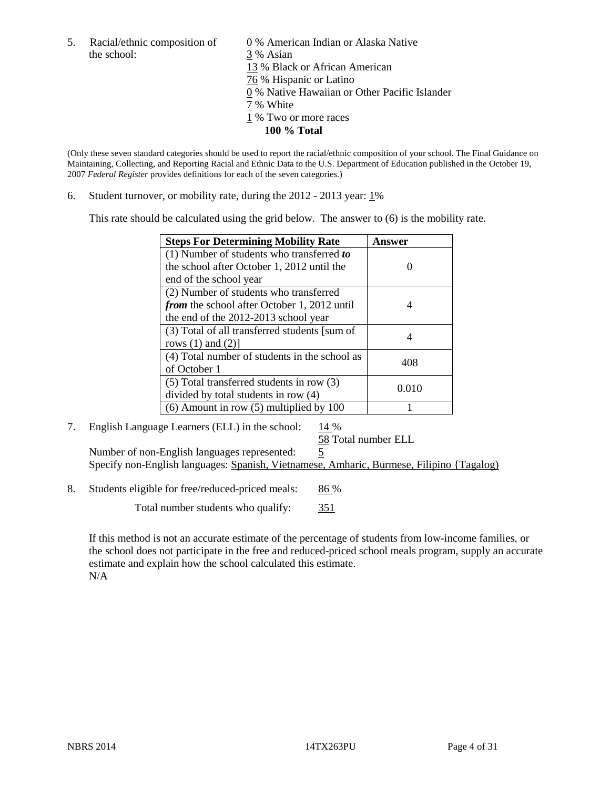the school: 3 % Asian

5. Racial/ethnic composition of  $\qquad \qquad \underline{0}$  % American Indian or Alaska Native 13 % Black or African American 76 % Hispanic or Latino 0 % Native Hawaiian or Other Pacific Islander 7 % White 1 % Two or more races **100 % Total**

(Only these seven standard categories should be used to report the racial/ethnic composition of your school. The Final Guidance on Maintaining, Collecting, and Reporting Racial and Ethnic Data to the U.S. Department of Education published in the October 19, 2007 *Federal Register* provides definitions for each of the seven categories.)

6. Student turnover, or mobility rate, during the  $2012 - 2013$  year:  $1\%$ 

This rate should be calculated using the grid below. The answer to (6) is the mobility rate.

| <b>Steps For Determining Mobility Rate</b>         | Answer |
|----------------------------------------------------|--------|
| $(1)$ Number of students who transferred to        |        |
| the school after October 1, 2012 until the         |        |
| end of the school year                             |        |
| (2) Number of students who transferred             |        |
| <i>from</i> the school after October 1, 2012 until |        |
| the end of the 2012-2013 school year               |        |
| (3) Total of all transferred students [sum of      |        |
| rows $(1)$ and $(2)$ ]                             |        |
| (4) Total number of students in the school as      | 408    |
| of October 1                                       |        |
| (5) Total transferred students in row (3)          | 0.010  |
| divided by total students in row (4)               |        |
| $(6)$ Amount in row $(5)$ multiplied by 100        |        |

### 7. English Language Learners (ELL) in the school:  $14\%$ 58 Total number ELL

Number of non-English languages represented: 5 Specify non-English languages: Spanish, Vietnamese, Amharic, Burmese, Filipino {Tagalog)

8. Students eligible for free/reduced-priced meals: 86 %

Total number students who qualify: 351

If this method is not an accurate estimate of the percentage of students from low-income families, or the school does not participate in the free and reduced-priced school meals program, supply an accurate estimate and explain how the school calculated this estimate. N/A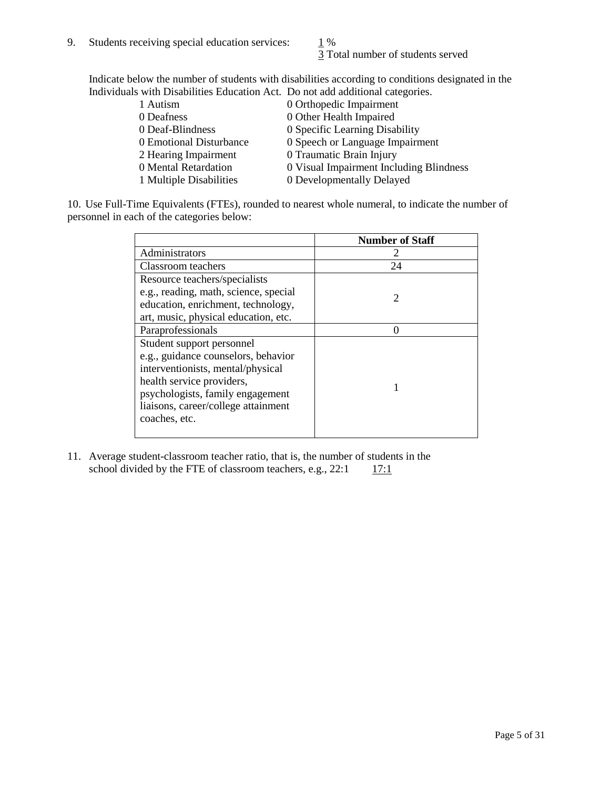3 Total number of students served

Indicate below the number of students with disabilities according to conditions designated in the Individuals with Disabilities Education Act. Do not add additional categories.

| 1 Autism                | 0 Orthopedic Impairment                 |
|-------------------------|-----------------------------------------|
| 0 Deafness              | 0 Other Health Impaired                 |
| 0 Deaf-Blindness        | 0 Specific Learning Disability          |
| 0 Emotional Disturbance | 0 Speech or Language Impairment         |
| 2 Hearing Impairment    | 0 Traumatic Brain Injury                |
| 0 Mental Retardation    | 0 Visual Impairment Including Blindness |
| 1 Multiple Disabilities | 0 Developmentally Delayed               |
|                         |                                         |

10. Use Full-Time Equivalents (FTEs), rounded to nearest whole numeral, to indicate the number of personnel in each of the categories below:

|                                       | <b>Number of Staff</b>      |
|---------------------------------------|-----------------------------|
| Administrators                        |                             |
| Classroom teachers                    | 24                          |
| Resource teachers/specialists         |                             |
| e.g., reading, math, science, special | $\mathcal{D}_{\mathcal{A}}$ |
| education, enrichment, technology,    |                             |
| art, music, physical education, etc.  |                             |
| Paraprofessionals                     |                             |
| Student support personnel             |                             |
| e.g., guidance counselors, behavior   |                             |
| interventionists, mental/physical     |                             |
| health service providers,             |                             |
| psychologists, family engagement      |                             |
| liaisons, career/college attainment   |                             |
| coaches, etc.                         |                             |
|                                       |                             |

11. Average student-classroom teacher ratio, that is, the number of students in the school divided by the FTE of classroom teachers, e.g.,  $22:1 \quad 17:1$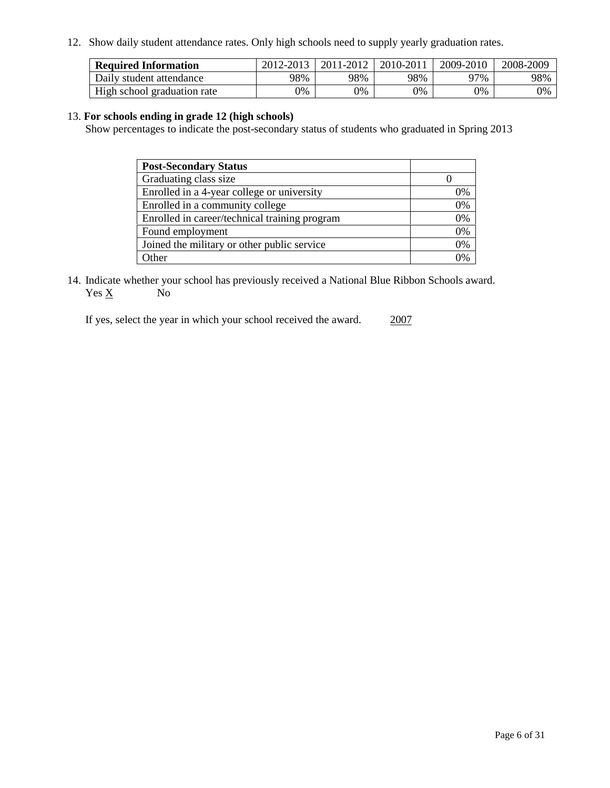12. Show daily student attendance rates. Only high schools need to supply yearly graduation rates.

| <b>Required Information</b> | 2012-2013 | 2011-2012 | 2010-2011 | 2009-2010 | 2008-2009 |
|-----------------------------|-----------|-----------|-----------|-----------|-----------|
| Daily student attendance    | 98%       | 98%       | 98%       | 97%       | 98%       |
| High school graduation rate | 0%        | 0%        | 0%        | 0%        | 0%        |

# 13. **For schools ending in grade 12 (high schools)**

Show percentages to indicate the post-secondary status of students who graduated in Spring 2013

| <b>Post-Secondary Status</b>                  |              |
|-----------------------------------------------|--------------|
| Graduating class size                         |              |
| Enrolled in a 4-year college or university    | 0%           |
| Enrolled in a community college               | 0%           |
| Enrolled in career/technical training program | 0%           |
| Found employment                              | 0%           |
| Joined the military or other public service   | 0%           |
| .)ther                                        | $\gamma_{0}$ |

14. Indicate whether your school has previously received a National Blue Ribbon Schools award.  $Yes \underline{X}$  No

If yes, select the year in which your school received the award. 2007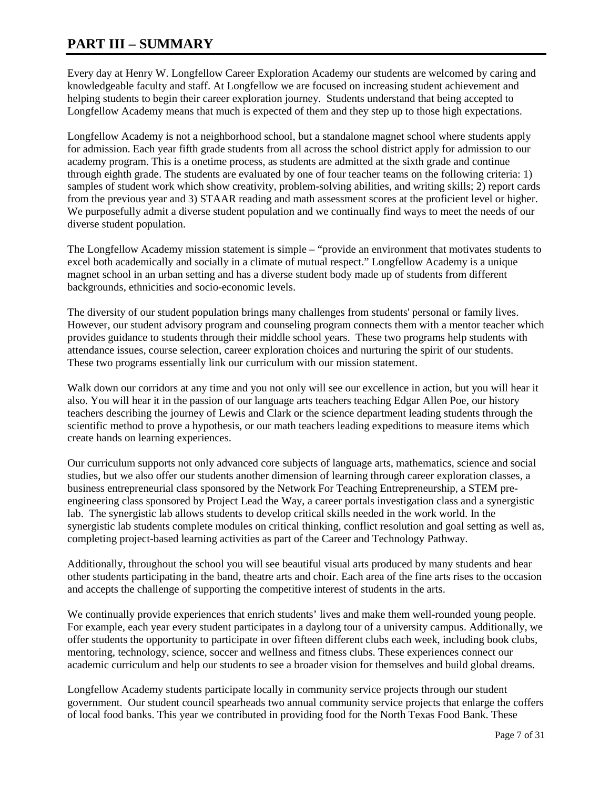# **PART III – SUMMARY**

Every day at Henry W. Longfellow Career Exploration Academy our students are welcomed by caring and knowledgeable faculty and staff. At Longfellow we are focused on increasing student achievement and helping students to begin their career exploration journey. Students understand that being accepted to Longfellow Academy means that much is expected of them and they step up to those high expectations.

Longfellow Academy is not a neighborhood school, but a standalone magnet school where students apply for admission. Each year fifth grade students from all across the school district apply for admission to our academy program. This is a onetime process, as students are admitted at the sixth grade and continue through eighth grade. The students are evaluated by one of four teacher teams on the following criteria: 1) samples of student work which show creativity, problem-solving abilities, and writing skills; 2) report cards from the previous year and 3) STAAR reading and math assessment scores at the proficient level or higher. We purposefully admit a diverse student population and we continually find ways to meet the needs of our diverse student population.

The Longfellow Academy mission statement is simple – "provide an environment that motivates students to excel both academically and socially in a climate of mutual respect." Longfellow Academy is a unique magnet school in an urban setting and has a diverse student body made up of students from different backgrounds, ethnicities and socio-economic levels.

The diversity of our student population brings many challenges from students' personal or family lives. However, our student advisory program and counseling program connects them with a mentor teacher which provides guidance to students through their middle school years. These two programs help students with attendance issues, course selection, career exploration choices and nurturing the spirit of our students. These two programs essentially link our curriculum with our mission statement.

Walk down our corridors at any time and you not only will see our excellence in action, but you will hear it also. You will hear it in the passion of our language arts teachers teaching Edgar Allen Poe, our history teachers describing the journey of Lewis and Clark or the science department leading students through the scientific method to prove a hypothesis, or our math teachers leading expeditions to measure items which create hands on learning experiences.

Our curriculum supports not only advanced core subjects of language arts, mathematics, science and social studies, but we also offer our students another dimension of learning through career exploration classes, a business entrepreneurial class sponsored by the Network For Teaching Entrepreneurship, a STEM preengineering class sponsored by Project Lead the Way, a career portals investigation class and a synergistic lab. The synergistic lab allows students to develop critical skills needed in the work world. In the synergistic lab students complete modules on critical thinking, conflict resolution and goal setting as well as, completing project-based learning activities as part of the Career and Technology Pathway.

Additionally, throughout the school you will see beautiful visual arts produced by many students and hear other students participating in the band, theatre arts and choir. Each area of the fine arts rises to the occasion and accepts the challenge of supporting the competitive interest of students in the arts.

We continually provide experiences that enrich students' lives and make them well-rounded young people. For example, each year every student participates in a daylong tour of a university campus. Additionally, we offer students the opportunity to participate in over fifteen different clubs each week, including book clubs, mentoring, technology, science, soccer and wellness and fitness clubs. These experiences connect our academic curriculum and help our students to see a broader vision for themselves and build global dreams.

Longfellow Academy students participate locally in community service projects through our student government. Our student council spearheads two annual community service projects that enlarge the coffers of local food banks. This year we contributed in providing food for the North Texas Food Bank. These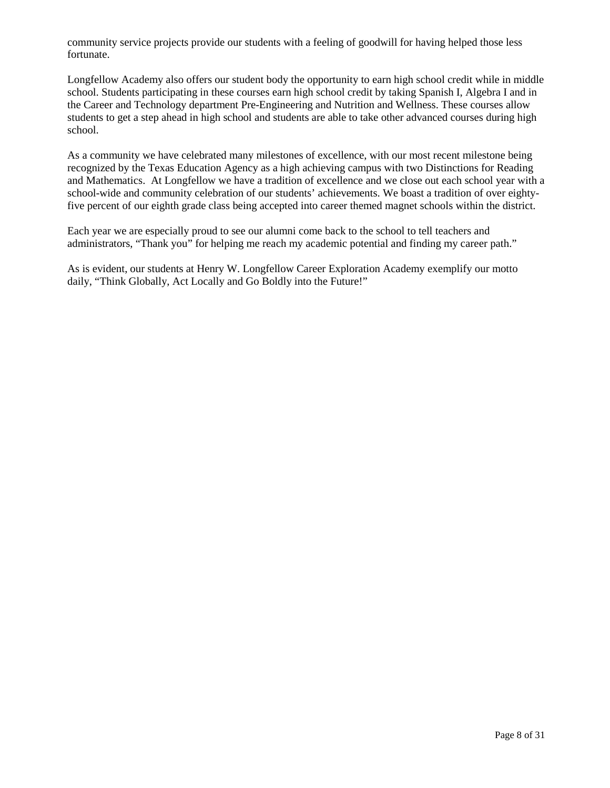community service projects provide our students with a feeling of goodwill for having helped those less fortunate.

Longfellow Academy also offers our student body the opportunity to earn high school credit while in middle school. Students participating in these courses earn high school credit by taking Spanish I, Algebra I and in the Career and Technology department Pre-Engineering and Nutrition and Wellness. These courses allow students to get a step ahead in high school and students are able to take other advanced courses during high school.

As a community we have celebrated many milestones of excellence, with our most recent milestone being recognized by the Texas Education Agency as a high achieving campus with two Distinctions for Reading and Mathematics. At Longfellow we have a tradition of excellence and we close out each school year with a school-wide and community celebration of our students' achievements. We boast a tradition of over eightyfive percent of our eighth grade class being accepted into career themed magnet schools within the district.

Each year we are especially proud to see our alumni come back to the school to tell teachers and administrators, "Thank you" for helping me reach my academic potential and finding my career path."

As is evident, our students at Henry W. Longfellow Career Exploration Academy exemplify our motto daily, "Think Globally, Act Locally and Go Boldly into the Future!"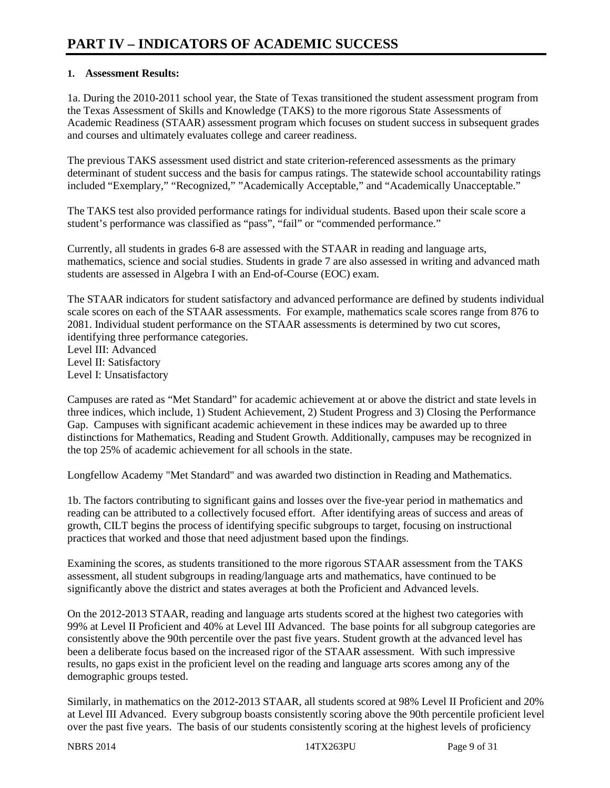# **1. Assessment Results:**

1a. During the 2010-2011 school year, the State of Texas transitioned the student assessment program from the Texas Assessment of Skills and Knowledge (TAKS) to the more rigorous State Assessments of Academic Readiness (STAAR) assessment program which focuses on student success in subsequent grades and courses and ultimately evaluates college and career readiness.

The previous TAKS assessment used district and state criterion-referenced assessments as the primary determinant of student success and the basis for campus ratings. The statewide school accountability ratings included "Exemplary," "Recognized," "Academically Acceptable," and "Academically Unacceptable."

The TAKS test also provided performance ratings for individual students. Based upon their scale score a student's performance was classified as "pass", "fail" or "commended performance."

Currently, all students in grades 6-8 are assessed with the STAAR in reading and language arts, mathematics, science and social studies. Students in grade 7 are also assessed in writing and advanced math students are assessed in Algebra I with an End-of-Course (EOC) exam.

The STAAR indicators for student satisfactory and advanced performance are defined by students individual scale scores on each of the STAAR assessments. For example, mathematics scale scores range from 876 to 2081. Individual student performance on the STAAR assessments is determined by two cut scores, identifying three performance categories.

Level III: Advanced Level II: Satisfactory Level I: Unsatisfactory

Campuses are rated as "Met Standard" for academic achievement at or above the district and state levels in three indices, which include, 1) Student Achievement, 2) Student Progress and 3) Closing the Performance Gap. Campuses with significant academic achievement in these indices may be awarded up to three distinctions for Mathematics, Reading and Student Growth. Additionally, campuses may be recognized in the top 25% of academic achievement for all schools in the state.

Longfellow Academy "Met Standard" and was awarded two distinction in Reading and Mathematics.

1b. The factors contributing to significant gains and losses over the five-year period in mathematics and reading can be attributed to a collectively focused effort. After identifying areas of success and areas of growth, CILT begins the process of identifying specific subgroups to target, focusing on instructional practices that worked and those that need adjustment based upon the findings.

Examining the scores, as students transitioned to the more rigorous STAAR assessment from the TAKS assessment, all student subgroups in reading/language arts and mathematics, have continued to be significantly above the district and states averages at both the Proficient and Advanced levels.

On the 2012-2013 STAAR, reading and language arts students scored at the highest two categories with 99% at Level II Proficient and 40% at Level III Advanced. The base points for all subgroup categories are consistently above the 90th percentile over the past five years. Student growth at the advanced level has been a deliberate focus based on the increased rigor of the STAAR assessment. With such impressive results, no gaps exist in the proficient level on the reading and language arts scores among any of the demographic groups tested.

Similarly, in mathematics on the 2012-2013 STAAR, all students scored at 98% Level II Proficient and 20% at Level III Advanced. Every subgroup boasts consistently scoring above the 90th percentile proficient level over the past five years. The basis of our students consistently scoring at the highest levels of proficiency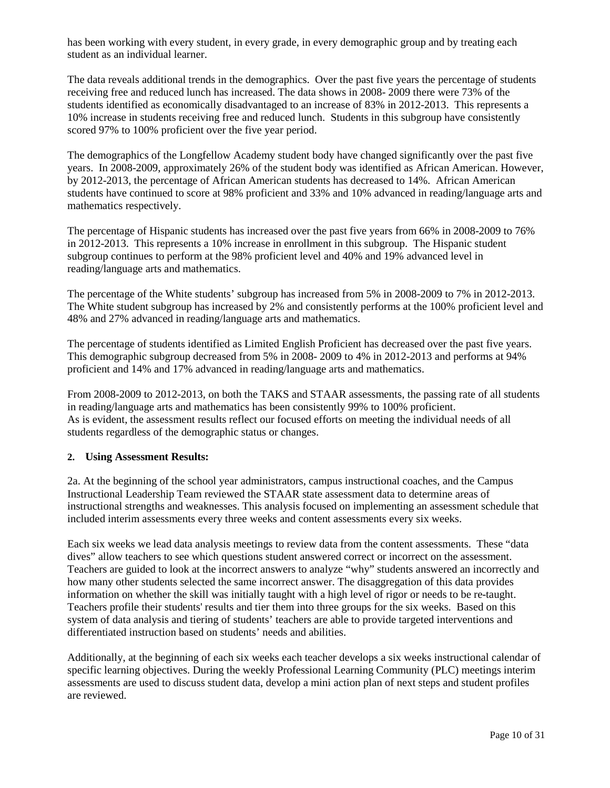has been working with every student, in every grade, in every demographic group and by treating each student as an individual learner.

The data reveals additional trends in the demographics. Over the past five years the percentage of students receiving free and reduced lunch has increased. The data shows in 2008- 2009 there were 73% of the students identified as economically disadvantaged to an increase of 83% in 2012-2013. This represents a 10% increase in students receiving free and reduced lunch. Students in this subgroup have consistently scored 97% to 100% proficient over the five year period.

The demographics of the Longfellow Academy student body have changed significantly over the past five years. In 2008-2009, approximately 26% of the student body was identified as African American. However, by 2012-2013, the percentage of African American students has decreased to 14%. African American students have continued to score at 98% proficient and 33% and 10% advanced in reading/language arts and mathematics respectively.

The percentage of Hispanic students has increased over the past five years from 66% in 2008-2009 to 76% in 2012-2013. This represents a 10% increase in enrollment in this subgroup. The Hispanic student subgroup continues to perform at the 98% proficient level and 40% and 19% advanced level in reading/language arts and mathematics.

The percentage of the White students' subgroup has increased from 5% in 2008-2009 to 7% in 2012-2013. The White student subgroup has increased by 2% and consistently performs at the 100% proficient level and 48% and 27% advanced in reading/language arts and mathematics.

The percentage of students identified as Limited English Proficient has decreased over the past five years. This demographic subgroup decreased from 5% in 2008- 2009 to 4% in 2012-2013 and performs at 94% proficient and 14% and 17% advanced in reading/language arts and mathematics.

From 2008-2009 to 2012-2013, on both the TAKS and STAAR assessments, the passing rate of all students in reading/language arts and mathematics has been consistently 99% to 100% proficient. As is evident, the assessment results reflect our focused efforts on meeting the individual needs of all students regardless of the demographic status or changes.

# **2. Using Assessment Results:**

2a. At the beginning of the school year administrators, campus instructional coaches, and the Campus Instructional Leadership Team reviewed the STAAR state assessment data to determine areas of instructional strengths and weaknesses. This analysis focused on implementing an assessment schedule that included interim assessments every three weeks and content assessments every six weeks.

Each six weeks we lead data analysis meetings to review data from the content assessments. These "data dives" allow teachers to see which questions student answered correct or incorrect on the assessment. Teachers are guided to look at the incorrect answers to analyze "why" students answered an incorrectly and how many other students selected the same incorrect answer. The disaggregation of this data provides information on whether the skill was initially taught with a high level of rigor or needs to be re-taught. Teachers profile their students' results and tier them into three groups for the six weeks. Based on this system of data analysis and tiering of students' teachers are able to provide targeted interventions and differentiated instruction based on students' needs and abilities.

Additionally, at the beginning of each six weeks each teacher develops a six weeks instructional calendar of specific learning objectives. During the weekly Professional Learning Community (PLC) meetings interim assessments are used to discuss student data, develop a mini action plan of next steps and student profiles are reviewed.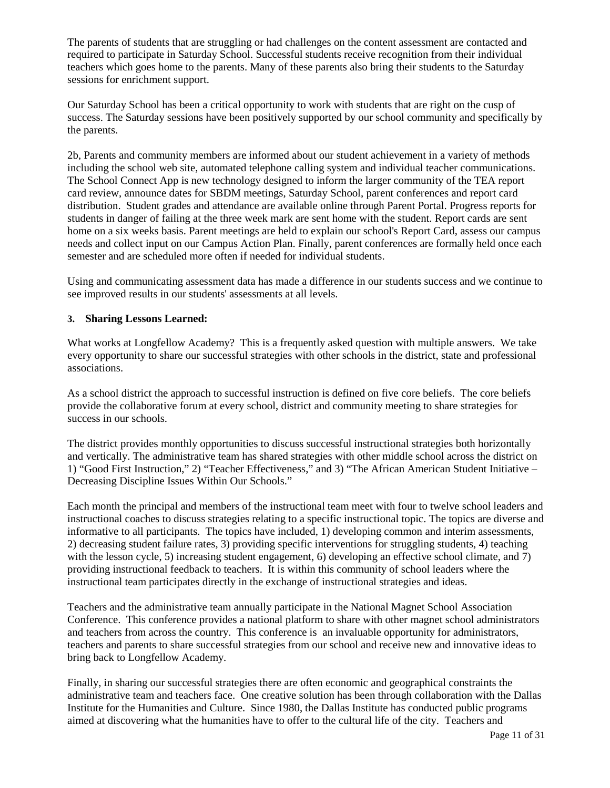The parents of students that are struggling or had challenges on the content assessment are contacted and required to participate in Saturday School. Successful students receive recognition from their individual teachers which goes home to the parents. Many of these parents also bring their students to the Saturday sessions for enrichment support.

Our Saturday School has been a critical opportunity to work with students that are right on the cusp of success. The Saturday sessions have been positively supported by our school community and specifically by the parents.

2b, Parents and community members are informed about our student achievement in a variety of methods including the school web site, automated telephone calling system and individual teacher communications. The School Connect App is new technology designed to inform the larger community of the TEA report card review, announce dates for SBDM meetings, Saturday School, parent conferences and report card distribution. Student grades and attendance are available online through Parent Portal. Progress reports for students in danger of failing at the three week mark are sent home with the student. Report cards are sent home on a six weeks basis. Parent meetings are held to explain our school's Report Card, assess our campus needs and collect input on our Campus Action Plan. Finally, parent conferences are formally held once each semester and are scheduled more often if needed for individual students.

Using and communicating assessment data has made a difference in our students success and we continue to see improved results in our students' assessments at all levels.

# **3. Sharing Lessons Learned:**

What works at Longfellow Academy? This is a frequently asked question with multiple answers. We take every opportunity to share our successful strategies with other schools in the district, state and professional associations.

As a school district the approach to successful instruction is defined on five core beliefs. The core beliefs provide the collaborative forum at every school, district and community meeting to share strategies for success in our schools.

The district provides monthly opportunities to discuss successful instructional strategies both horizontally and vertically. The administrative team has shared strategies with other middle school across the district on 1) "Good First Instruction," 2) "Teacher Effectiveness," and 3) "The African American Student Initiative – Decreasing Discipline Issues Within Our Schools."

Each month the principal and members of the instructional team meet with four to twelve school leaders and instructional coaches to discuss strategies relating to a specific instructional topic. The topics are diverse and informative to all participants. The topics have included, 1) developing common and interim assessments, 2) decreasing student failure rates, 3) providing specific interventions for struggling students, 4) teaching with the lesson cycle, 5) increasing student engagement, 6) developing an effective school climate, and 7) providing instructional feedback to teachers. It is within this community of school leaders where the instructional team participates directly in the exchange of instructional strategies and ideas.

Teachers and the administrative team annually participate in the National Magnet School Association Conference. This conference provides a national platform to share with other magnet school administrators and teachers from across the country. This conference is an invaluable opportunity for administrators, teachers and parents to share successful strategies from our school and receive new and innovative ideas to bring back to Longfellow Academy.

Finally, in sharing our successful strategies there are often economic and geographical constraints the administrative team and teachers face. One creative solution has been through collaboration with the Dallas Institute for the Humanities and Culture. Since 1980, the Dallas Institute has conducted public programs aimed at discovering what the humanities have to offer to the cultural life of the city. Teachers and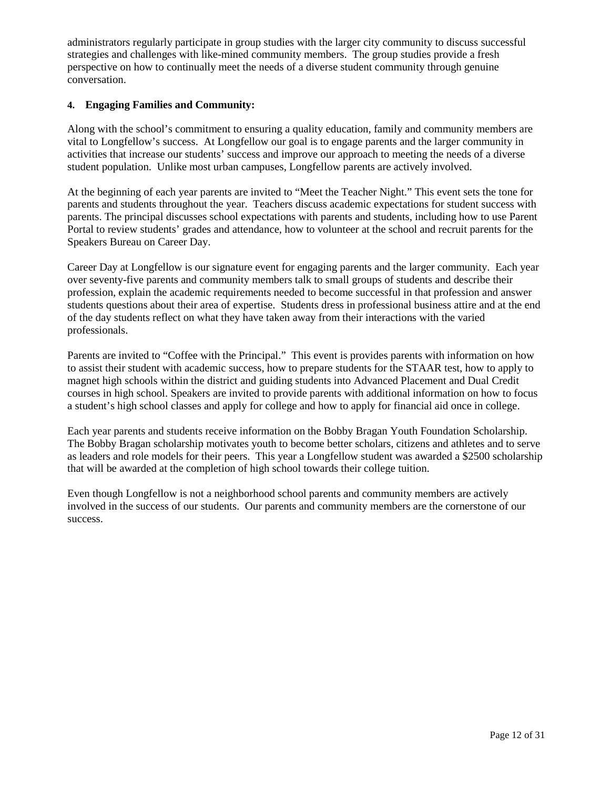administrators regularly participate in group studies with the larger city community to discuss successful strategies and challenges with like-mined community members. The group studies provide a fresh perspective on how to continually meet the needs of a diverse student community through genuine conversation.

# **4. Engaging Families and Community:**

Along with the school's commitment to ensuring a quality education, family and community members are vital to Longfellow's success. At Longfellow our goal is to engage parents and the larger community in activities that increase our students' success and improve our approach to meeting the needs of a diverse student population. Unlike most urban campuses, Longfellow parents are actively involved.

At the beginning of each year parents are invited to "Meet the Teacher Night." This event sets the tone for parents and students throughout the year. Teachers discuss academic expectations for student success with parents. The principal discusses school expectations with parents and students, including how to use Parent Portal to review students' grades and attendance, how to volunteer at the school and recruit parents for the Speakers Bureau on Career Day.

Career Day at Longfellow is our signature event for engaging parents and the larger community. Each year over seventy-five parents and community members talk to small groups of students and describe their profession, explain the academic requirements needed to become successful in that profession and answer students questions about their area of expertise. Students dress in professional business attire and at the end of the day students reflect on what they have taken away from their interactions with the varied professionals.

Parents are invited to "Coffee with the Principal." This event is provides parents with information on how to assist their student with academic success, how to prepare students for the STAAR test, how to apply to magnet high schools within the district and guiding students into Advanced Placement and Dual Credit courses in high school. Speakers are invited to provide parents with additional information on how to focus a student's high school classes and apply for college and how to apply for financial aid once in college.

Each year parents and students receive information on the Bobby Bragan Youth Foundation Scholarship. The Bobby Bragan scholarship motivates youth to become better scholars, citizens and athletes and to serve as leaders and role models for their peers. This year a Longfellow student was awarded a \$2500 scholarship that will be awarded at the completion of high school towards their college tuition.

Even though Longfellow is not a neighborhood school parents and community members are actively involved in the success of our students. Our parents and community members are the cornerstone of our success.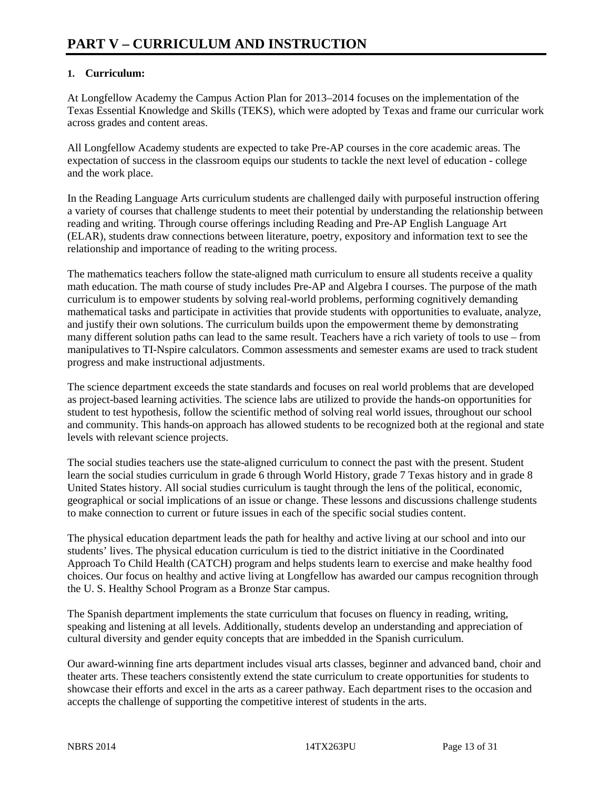# **1. Curriculum:**

At Longfellow Academy the Campus Action Plan for 2013–2014 focuses on the implementation of the Texas Essential Knowledge and Skills (TEKS), which were adopted by Texas and frame our curricular work across grades and content areas.

All Longfellow Academy students are expected to take Pre-AP courses in the core academic areas. The expectation of success in the classroom equips our students to tackle the next level of education - college and the work place.

In the Reading Language Arts curriculum students are challenged daily with purposeful instruction offering a variety of courses that challenge students to meet their potential by understanding the relationship between reading and writing. Through course offerings including Reading and Pre-AP English Language Art (ELAR), students draw connections between literature, poetry, expository and information text to see the relationship and importance of reading to the writing process.

The mathematics teachers follow the state-aligned math curriculum to ensure all students receive a quality math education. The math course of study includes Pre-AP and Algebra I courses. The purpose of the math curriculum is to empower students by solving real-world problems, performing cognitively demanding mathematical tasks and participate in activities that provide students with opportunities to evaluate, analyze, and justify their own solutions. The curriculum builds upon the empowerment theme by demonstrating many different solution paths can lead to the same result. Teachers have a rich variety of tools to use – from manipulatives to TI-Nspire calculators. Common assessments and semester exams are used to track student progress and make instructional adjustments.

The science department exceeds the state standards and focuses on real world problems that are developed as project-based learning activities. The science labs are utilized to provide the hands-on opportunities for student to test hypothesis, follow the scientific method of solving real world issues, throughout our school and community. This hands-on approach has allowed students to be recognized both at the regional and state levels with relevant science projects.

The social studies teachers use the state-aligned curriculum to connect the past with the present. Student learn the social studies curriculum in grade 6 through World History, grade 7 Texas history and in grade 8 United States history. All social studies curriculum is taught through the lens of the political, economic, geographical or social implications of an issue or change. These lessons and discussions challenge students to make connection to current or future issues in each of the specific social studies content.

The physical education department leads the path for healthy and active living at our school and into our students' lives. The physical education curriculum is tied to the district initiative in the Coordinated Approach To Child Health (CATCH) program and helps students learn to exercise and make healthy food choices. Our focus on healthy and active living at Longfellow has awarded our campus recognition through the U. S. Healthy School Program as a Bronze Star campus.

The Spanish department implements the state curriculum that focuses on fluency in reading, writing, speaking and listening at all levels. Additionally, students develop an understanding and appreciation of cultural diversity and gender equity concepts that are imbedded in the Spanish curriculum.

Our award-winning fine arts department includes visual arts classes, beginner and advanced band, choir and theater arts. These teachers consistently extend the state curriculum to create opportunities for students to showcase their efforts and excel in the arts as a career pathway. Each department rises to the occasion and accepts the challenge of supporting the competitive interest of students in the arts.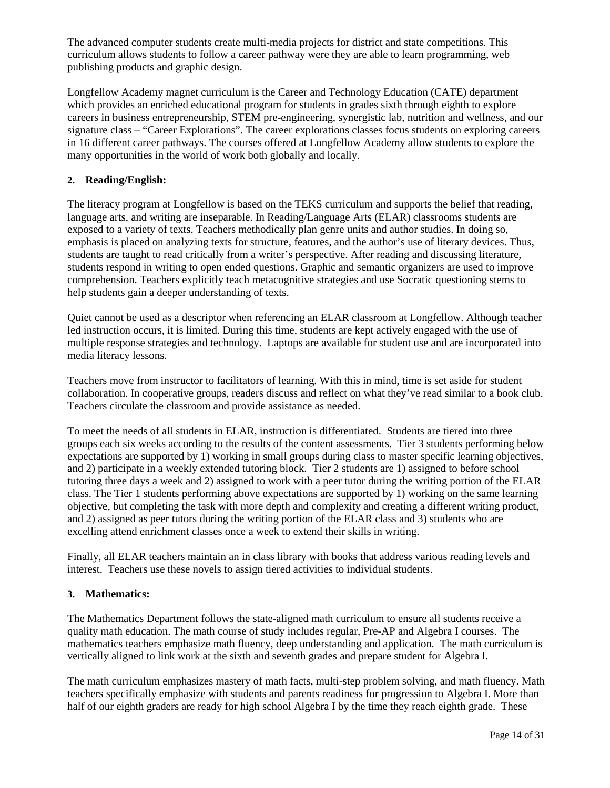The advanced computer students create multi-media projects for district and state competitions. This curriculum allows students to follow a career pathway were they are able to learn programming, web publishing products and graphic design.

Longfellow Academy magnet curriculum is the Career and Technology Education (CATE) department which provides an enriched educational program for students in grades sixth through eighth to explore careers in business entrepreneurship, STEM pre-engineering, synergistic lab, nutrition and wellness, and our signature class – "Career Explorations". The career explorations classes focus students on exploring careers in 16 different career pathways. The courses offered at Longfellow Academy allow students to explore the many opportunities in the world of work both globally and locally.

# **2. Reading/English:**

The literacy program at Longfellow is based on the TEKS curriculum and supports the belief that reading, language arts, and writing are inseparable. In Reading/Language Arts (ELAR) classrooms students are exposed to a variety of texts. Teachers methodically plan genre units and author studies. In doing so, emphasis is placed on analyzing texts for structure, features, and the author's use of literary devices. Thus, students are taught to read critically from a writer's perspective. After reading and discussing literature, students respond in writing to open ended questions. Graphic and semantic organizers are used to improve comprehension. Teachers explicitly teach metacognitive strategies and use Socratic questioning stems to help students gain a deeper understanding of texts.

Quiet cannot be used as a descriptor when referencing an ELAR classroom at Longfellow. Although teacher led instruction occurs, it is limited. During this time, students are kept actively engaged with the use of multiple response strategies and technology. Laptops are available for student use and are incorporated into media literacy lessons.

Teachers move from instructor to facilitators of learning. With this in mind, time is set aside for student collaboration. In cooperative groups, readers discuss and reflect on what they've read similar to a book club. Teachers circulate the classroom and provide assistance as needed.

To meet the needs of all students in ELAR, instruction is differentiated. Students are tiered into three groups each six weeks according to the results of the content assessments. Tier 3 students performing below expectations are supported by 1) working in small groups during class to master specific learning objectives, and 2) participate in a weekly extended tutoring block. Tier 2 students are 1) assigned to before school tutoring three days a week and 2) assigned to work with a peer tutor during the writing portion of the ELAR class. The Tier 1 students performing above expectations are supported by 1) working on the same learning objective, but completing the task with more depth and complexity and creating a different writing product, and 2) assigned as peer tutors during the writing portion of the ELAR class and 3) students who are excelling attend enrichment classes once a week to extend their skills in writing.

Finally, all ELAR teachers maintain an in class library with books that address various reading levels and interest. Teachers use these novels to assign tiered activities to individual students.

# **3. Mathematics:**

The Mathematics Department follows the state-aligned math curriculum to ensure all students receive a quality math education. The math course of study includes regular, Pre-AP and Algebra I courses. The mathematics teachers emphasize math fluency, deep understanding and application. The math curriculum is vertically aligned to link work at the sixth and seventh grades and prepare student for Algebra I.

The math curriculum emphasizes mastery of math facts, multi-step problem solving, and math fluency. Math teachers specifically emphasize with students and parents readiness for progression to Algebra I. More than half of our eighth graders are ready for high school Algebra I by the time they reach eighth grade. These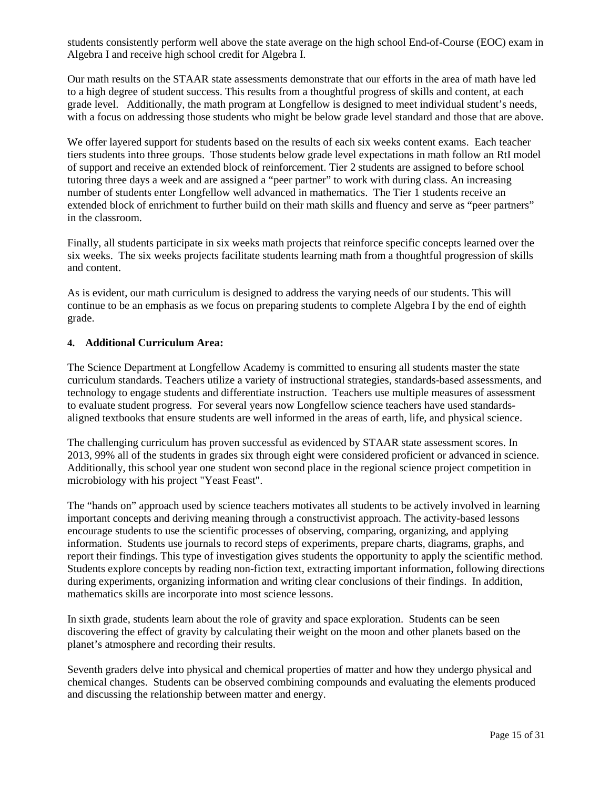students consistently perform well above the state average on the high school End-of-Course (EOC) exam in Algebra I and receive high school credit for Algebra I.

Our math results on the STAAR state assessments demonstrate that our efforts in the area of math have led to a high degree of student success. This results from a thoughtful progress of skills and content, at each grade level. Additionally, the math program at Longfellow is designed to meet individual student's needs, with a focus on addressing those students who might be below grade level standard and those that are above.

We offer layered support for students based on the results of each six weeks content exams. Each teacher tiers students into three groups. Those students below grade level expectations in math follow an RtI model of support and receive an extended block of reinforcement. Tier 2 students are assigned to before school tutoring three days a week and are assigned a "peer partner" to work with during class. An increasing number of students enter Longfellow well advanced in mathematics. The Tier 1 students receive an extended block of enrichment to further build on their math skills and fluency and serve as "peer partners" in the classroom.

Finally, all students participate in six weeks math projects that reinforce specific concepts learned over the six weeks. The six weeks projects facilitate students learning math from a thoughtful progression of skills and content.

As is evident, our math curriculum is designed to address the varying needs of our students. This will continue to be an emphasis as we focus on preparing students to complete Algebra I by the end of eighth grade.

## **4. Additional Curriculum Area:**

The Science Department at Longfellow Academy is committed to ensuring all students master the state curriculum standards. Teachers utilize a variety of instructional strategies, standards-based assessments, and technology to engage students and differentiate instruction. Teachers use multiple measures of assessment to evaluate student progress. For several years now Longfellow science teachers have used standardsaligned textbooks that ensure students are well informed in the areas of earth, life, and physical science.

The challenging curriculum has proven successful as evidenced by STAAR state assessment scores. In 2013, 99% all of the students in grades six through eight were considered proficient or advanced in science. Additionally, this school year one student won second place in the regional science project competition in microbiology with his project "Yeast Feast".

The "hands on" approach used by science teachers motivates all students to be actively involved in learning important concepts and deriving meaning through a constructivist approach. The activity-based lessons encourage students to use the scientific processes of observing, comparing, organizing, and applying information. Students use journals to record steps of experiments, prepare charts, diagrams, graphs, and report their findings. This type of investigation gives students the opportunity to apply the scientific method. Students explore concepts by reading non-fiction text, extracting important information, following directions during experiments, organizing information and writing clear conclusions of their findings. In addition, mathematics skills are incorporate into most science lessons.

In sixth grade, students learn about the role of gravity and space exploration. Students can be seen discovering the effect of gravity by calculating their weight on the moon and other planets based on the planet's atmosphere and recording their results.

Seventh graders delve into physical and chemical properties of matter and how they undergo physical and chemical changes. Students can be observed combining compounds and evaluating the elements produced and discussing the relationship between matter and energy.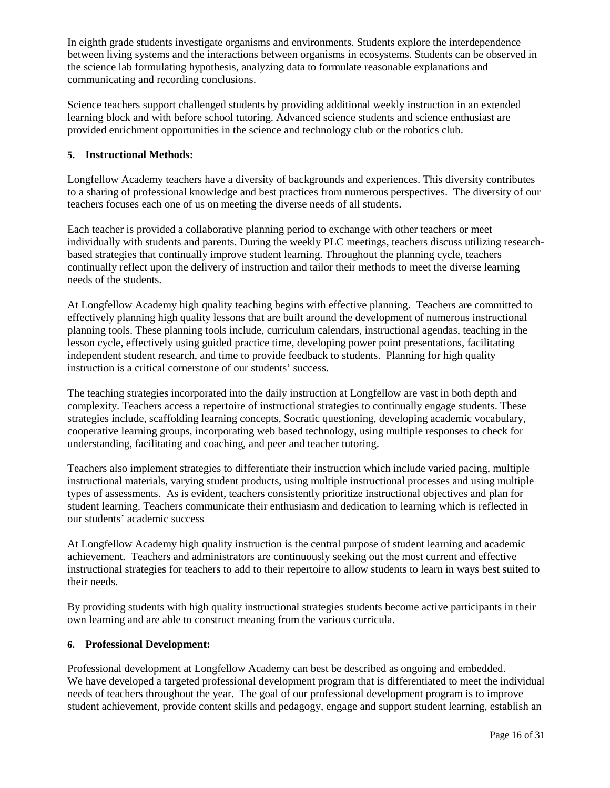In eighth grade students investigate organisms and environments. Students explore the interdependence between living systems and the interactions between organisms in ecosystems. Students can be observed in the science lab formulating hypothesis, analyzing data to formulate reasonable explanations and communicating and recording conclusions.

Science teachers support challenged students by providing additional weekly instruction in an extended learning block and with before school tutoring. Advanced science students and science enthusiast are provided enrichment opportunities in the science and technology club or the robotics club.

# **5. Instructional Methods:**

Longfellow Academy teachers have a diversity of backgrounds and experiences. This diversity contributes to a sharing of professional knowledge and best practices from numerous perspectives. The diversity of our teachers focuses each one of us on meeting the diverse needs of all students.

Each teacher is provided a collaborative planning period to exchange with other teachers or meet individually with students and parents. During the weekly PLC meetings, teachers discuss utilizing researchbased strategies that continually improve student learning. Throughout the planning cycle, teachers continually reflect upon the delivery of instruction and tailor their methods to meet the diverse learning needs of the students.

At Longfellow Academy high quality teaching begins with effective planning. Teachers are committed to effectively planning high quality lessons that are built around the development of numerous instructional planning tools. These planning tools include, curriculum calendars, instructional agendas, teaching in the lesson cycle, effectively using guided practice time, developing power point presentations, facilitating independent student research, and time to provide feedback to students. Planning for high quality instruction is a critical cornerstone of our students' success.

The teaching strategies incorporated into the daily instruction at Longfellow are vast in both depth and complexity. Teachers access a repertoire of instructional strategies to continually engage students. These strategies include, scaffolding learning concepts, Socratic questioning, developing academic vocabulary, cooperative learning groups, incorporating web based technology, using multiple responses to check for understanding, facilitating and coaching, and peer and teacher tutoring.

Teachers also implement strategies to differentiate their instruction which include varied pacing, multiple instructional materials, varying student products, using multiple instructional processes and using multiple types of assessments. As is evident, teachers consistently prioritize instructional objectives and plan for student learning. Teachers communicate their enthusiasm and dedication to learning which is reflected in our students' academic success

At Longfellow Academy high quality instruction is the central purpose of student learning and academic achievement. Teachers and administrators are continuously seeking out the most current and effective instructional strategies for teachers to add to their repertoire to allow students to learn in ways best suited to their needs.

By providing students with high quality instructional strategies students become active participants in their own learning and are able to construct meaning from the various curricula.

# **6. Professional Development:**

Professional development at Longfellow Academy can best be described as ongoing and embedded. We have developed a targeted professional development program that is differentiated to meet the individual needs of teachers throughout the year. The goal of our professional development program is to improve student achievement, provide content skills and pedagogy, engage and support student learning, establish an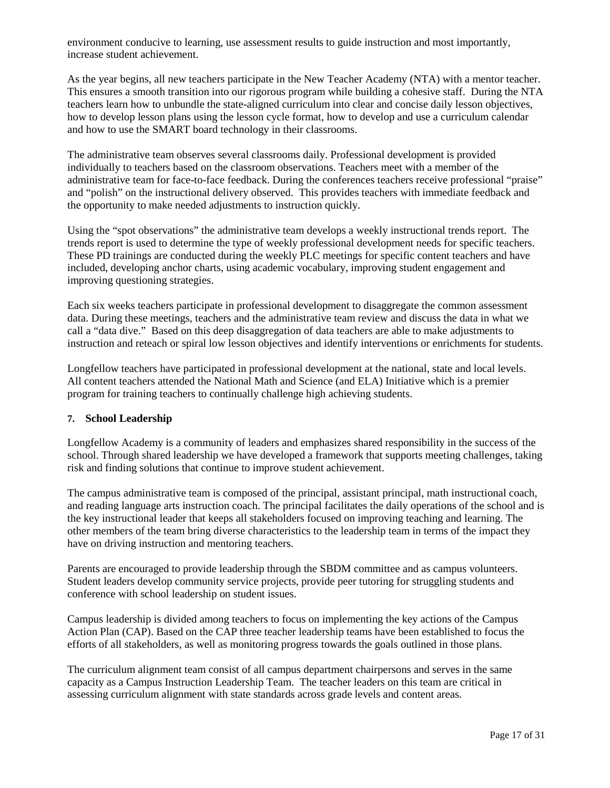environment conducive to learning, use assessment results to guide instruction and most importantly, increase student achievement.

As the year begins, all new teachers participate in the New Teacher Academy (NTA) with a mentor teacher. This ensures a smooth transition into our rigorous program while building a cohesive staff. During the NTA teachers learn how to unbundle the state-aligned curriculum into clear and concise daily lesson objectives, how to develop lesson plans using the lesson cycle format, how to develop and use a curriculum calendar and how to use the SMART board technology in their classrooms.

The administrative team observes several classrooms daily. Professional development is provided individually to teachers based on the classroom observations. Teachers meet with a member of the administrative team for face-to-face feedback. During the conferences teachers receive professional "praise" and "polish" on the instructional delivery observed. This provides teachers with immediate feedback and the opportunity to make needed adjustments to instruction quickly.

Using the "spot observations" the administrative team develops a weekly instructional trends report. The trends report is used to determine the type of weekly professional development needs for specific teachers. These PD trainings are conducted during the weekly PLC meetings for specific content teachers and have included, developing anchor charts, using academic vocabulary, improving student engagement and improving questioning strategies.

Each six weeks teachers participate in professional development to disaggregate the common assessment data. During these meetings, teachers and the administrative team review and discuss the data in what we call a "data dive." Based on this deep disaggregation of data teachers are able to make adjustments to instruction and reteach or spiral low lesson objectives and identify interventions or enrichments for students.

Longfellow teachers have participated in professional development at the national, state and local levels. All content teachers attended the National Math and Science (and ELA) Initiative which is a premier program for training teachers to continually challenge high achieving students.

# **7. School Leadership**

Longfellow Academy is a community of leaders and emphasizes shared responsibility in the success of the school. Through shared leadership we have developed a framework that supports meeting challenges, taking risk and finding solutions that continue to improve student achievement.

The campus administrative team is composed of the principal, assistant principal, math instructional coach, and reading language arts instruction coach. The principal facilitates the daily operations of the school and is the key instructional leader that keeps all stakeholders focused on improving teaching and learning. The other members of the team bring diverse characteristics to the leadership team in terms of the impact they have on driving instruction and mentoring teachers.

Parents are encouraged to provide leadership through the SBDM committee and as campus volunteers. Student leaders develop community service projects, provide peer tutoring for struggling students and conference with school leadership on student issues.

Campus leadership is divided among teachers to focus on implementing the key actions of the Campus Action Plan (CAP). Based on the CAP three teacher leadership teams have been established to focus the efforts of all stakeholders, as well as monitoring progress towards the goals outlined in those plans.

The curriculum alignment team consist of all campus department chairpersons and serves in the same capacity as a Campus Instruction Leadership Team. The teacher leaders on this team are critical in assessing curriculum alignment with state standards across grade levels and content areas.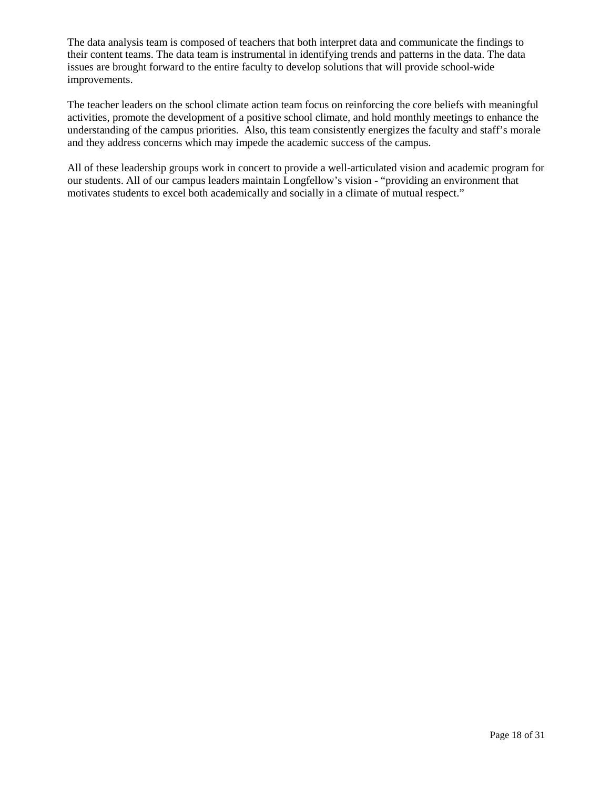The data analysis team is composed of teachers that both interpret data and communicate the findings to their content teams. The data team is instrumental in identifying trends and patterns in the data. The data issues are brought forward to the entire faculty to develop solutions that will provide school-wide improvements.

The teacher leaders on the school climate action team focus on reinforcing the core beliefs with meaningful activities, promote the development of a positive school climate, and hold monthly meetings to enhance the understanding of the campus priorities. Also, this team consistently energizes the faculty and staff's morale and they address concerns which may impede the academic success of the campus.

All of these leadership groups work in concert to provide a well-articulated vision and academic program for our students. All of our campus leaders maintain Longfellow's vision - "providing an environment that motivates students to excel both academically and socially in a climate of mutual respect."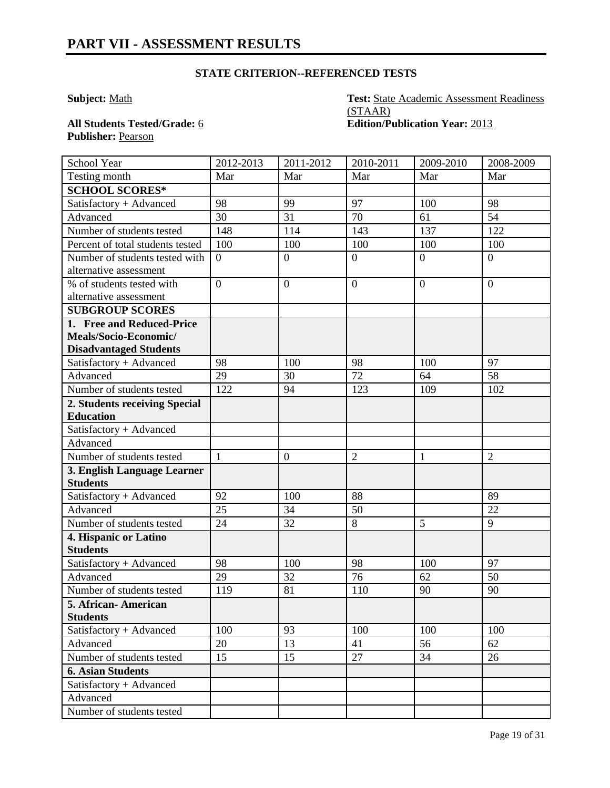# **STATE CRITERION--REFERENCED TESTS**

**Subject:** Math **Test:** State Academic Assessment Readiness (STAAR) **All Students Tested/Grade:** 6 **Edition/Publication Year:** 2013

Publisher: Pearson

| School Year                                    | 2012-2013      | 2011-2012        | 2010-2011        | 2009-2010      | 2008-2009      |
|------------------------------------------------|----------------|------------------|------------------|----------------|----------------|
| Testing month                                  | Mar            | Mar              | Mar              | Mar            | Mar            |
| <b>SCHOOL SCORES*</b>                          |                |                  |                  |                |                |
| Satisfactory + Advanced                        | 98             | 99               | 97               | 100            | 98             |
| Advanced                                       | 30             | 31               | 70               | 61             | 54             |
| Number of students tested                      | 148            | 114              | 143              | 137            | 122            |
| Percent of total students tested               | 100            | 100              | 100              | 100            | 100            |
| Number of students tested with                 | $\overline{0}$ | $\boldsymbol{0}$ | $\overline{0}$   | $\overline{0}$ | $\overline{0}$ |
| alternative assessment                         |                |                  |                  |                |                |
| % of students tested with                      | $\overline{0}$ | $\boldsymbol{0}$ | $\boldsymbol{0}$ | $\overline{0}$ | $\theta$       |
| alternative assessment                         |                |                  |                  |                |                |
| <b>SUBGROUP SCORES</b>                         |                |                  |                  |                |                |
| 1. Free and Reduced-Price                      |                |                  |                  |                |                |
| Meals/Socio-Economic/                          |                |                  |                  |                |                |
| <b>Disadvantaged Students</b>                  |                |                  |                  |                |                |
| Satisfactory + Advanced                        | 98             | 100              | 98               | 100            | 97             |
| Advanced                                       | 29             | 30               | 72               | 64             | 58             |
| Number of students tested                      | 122            | 94               | 123              | 109            | 102            |
| 2. Students receiving Special                  |                |                  |                  |                |                |
| <b>Education</b>                               |                |                  |                  |                |                |
| Satisfactory + Advanced                        |                |                  |                  |                |                |
| Advanced                                       |                |                  |                  |                |                |
| Number of students tested                      | $\mathbf{1}$   | $\boldsymbol{0}$ | $\overline{2}$   | 1              | $\overline{2}$ |
| 3. English Language Learner<br><b>Students</b> |                |                  |                  |                |                |
| Satisfactory + Advanced                        | 92             | 100              | 88               |                | 89             |
| Advanced                                       | 25             | 34               | 50               |                | 22             |
| Number of students tested                      | 24             | 32               | 8                | 5              | 9              |
| 4. Hispanic or Latino                          |                |                  |                  |                |                |
| <b>Students</b>                                |                |                  |                  |                |                |
| Satisfactory + Advanced                        | 98             | 100              | 98               | 100            | 97             |
| Advanced                                       | 29             | 32               | 76               | 62             | 50             |
| Number of students tested                      | 119            | 81               | 110              | 90             | 90             |
| 5. African- American                           |                |                  |                  |                |                |
| <b>Students</b>                                |                |                  |                  |                |                |
| Satisfactory + Advanced                        | 100            | 93               | 100              | 100            | 100            |
| Advanced                                       | 20             | 13               | 41               | 56             | 62             |
| Number of students tested                      | 15             | 15               | 27               | 34             | 26             |
| <b>6. Asian Students</b>                       |                |                  |                  |                |                |
| Satisfactory + Advanced                        |                |                  |                  |                |                |
| Advanced                                       |                |                  |                  |                |                |
| Number of students tested                      |                |                  |                  |                |                |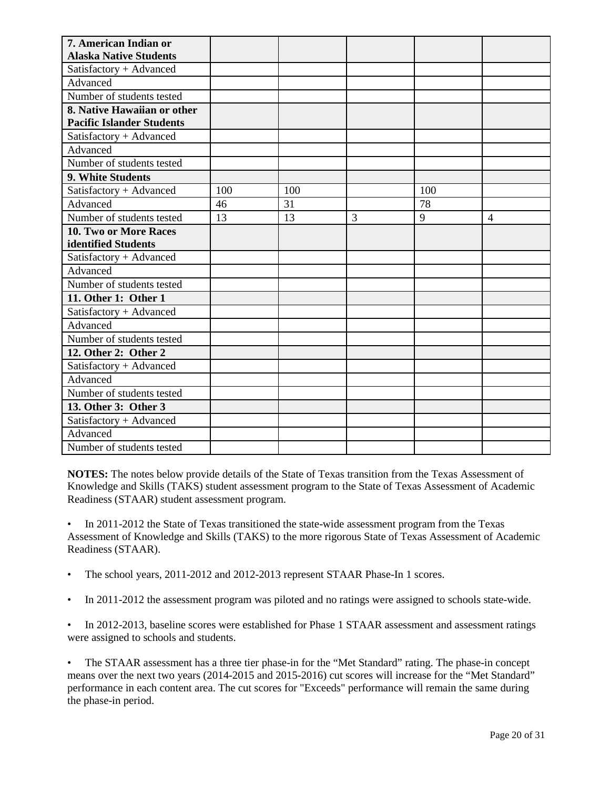| 7. American Indian or            |     |     |   |     |                |
|----------------------------------|-----|-----|---|-----|----------------|
| <b>Alaska Native Students</b>    |     |     |   |     |                |
| Satisfactory + Advanced          |     |     |   |     |                |
| Advanced                         |     |     |   |     |                |
| Number of students tested        |     |     |   |     |                |
| 8. Native Hawaiian or other      |     |     |   |     |                |
| <b>Pacific Islander Students</b> |     |     |   |     |                |
| Satisfactory + Advanced          |     |     |   |     |                |
| Advanced                         |     |     |   |     |                |
| Number of students tested        |     |     |   |     |                |
| 9. White Students                |     |     |   |     |                |
| Satisfactory + Advanced          | 100 | 100 |   | 100 |                |
| Advanced                         | 46  | 31  |   | 78  |                |
| Number of students tested        | 13  | 13  | 3 | 9   | $\overline{4}$ |
| 10. Two or More Races            |     |     |   |     |                |
| identified Students              |     |     |   |     |                |
| Satisfactory + Advanced          |     |     |   |     |                |
| Advanced                         |     |     |   |     |                |
| Number of students tested        |     |     |   |     |                |
| 11. Other 1: Other 1             |     |     |   |     |                |
| Satisfactory + Advanced          |     |     |   |     |                |
| Advanced                         |     |     |   |     |                |
| Number of students tested        |     |     |   |     |                |
| 12. Other 2: Other 2             |     |     |   |     |                |
| Satisfactory + Advanced          |     |     |   |     |                |
| Advanced                         |     |     |   |     |                |
| Number of students tested        |     |     |   |     |                |
| 13. Other 3: Other 3             |     |     |   |     |                |
| Satisfactory + Advanced          |     |     |   |     |                |
| Advanced                         |     |     |   |     |                |
| Number of students tested        |     |     |   |     |                |

**NOTES:** The notes below provide details of the State of Texas transition from the Texas Assessment of Knowledge and Skills (TAKS) student assessment program to the State of Texas Assessment of Academic Readiness (STAAR) student assessment program.

• In 2011-2012 the State of Texas transitioned the state-wide assessment program from the Texas Assessment of Knowledge and Skills (TAKS) to the more rigorous State of Texas Assessment of Academic Readiness (STAAR).

- The school years, 2011-2012 and 2012-2013 represent STAAR Phase-In 1 scores.
- In 2011-2012 the assessment program was piloted and no ratings were assigned to schools state-wide.
- In 2012-2013, baseline scores were established for Phase 1 STAAR assessment and assessment ratings were assigned to schools and students.

• The STAAR assessment has a three tier phase-in for the "Met Standard" rating. The phase-in concept means over the next two years (2014-2015 and 2015-2016) cut scores will increase for the "Met Standard" performance in each content area. The cut scores for "Exceeds" performance will remain the same during the phase-in period.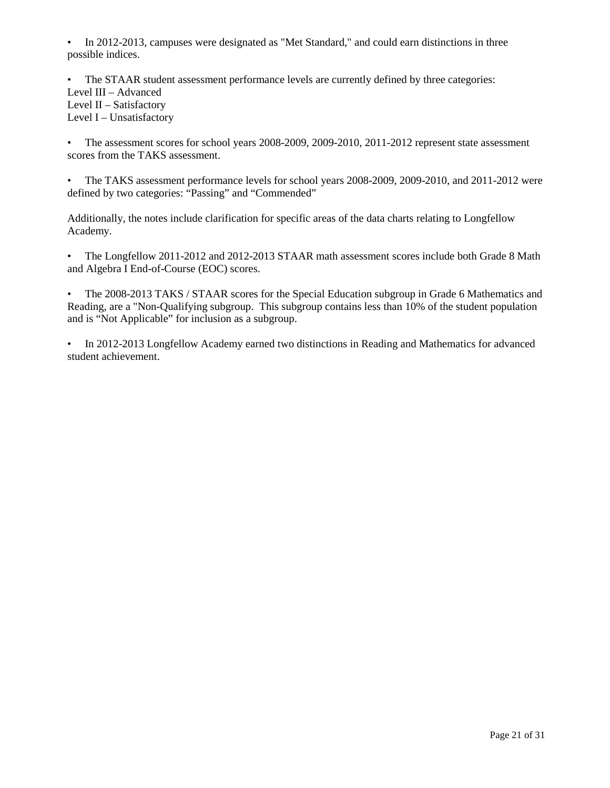• In 2012-2013, campuses were designated as "Met Standard," and could earn distinctions in three possible indices.

• The STAAR student assessment performance levels are currently defined by three categories: Level III – Advanced Level II – Satisfactory Level I – Unsatisfactory

• The assessment scores for school years 2008-2009, 2009-2010, 2011-2012 represent state assessment scores from the TAKS assessment.

• The TAKS assessment performance levels for school years 2008-2009, 2009-2010, and 2011-2012 were defined by two categories: "Passing" and "Commended"

Additionally, the notes include clarification for specific areas of the data charts relating to Longfellow Academy.

• The Longfellow 2011-2012 and 2012-2013 STAAR math assessment scores include both Grade 8 Math and Algebra I End-of-Course (EOC) scores.

• The 2008-2013 TAKS / STAAR scores for the Special Education subgroup in Grade 6 Mathematics and Reading, are a "Non-Qualifying subgroup. This subgroup contains less than 10% of the student population and is "Not Applicable" for inclusion as a subgroup.

• In 2012-2013 Longfellow Academy earned two distinctions in Reading and Mathematics for advanced student achievement.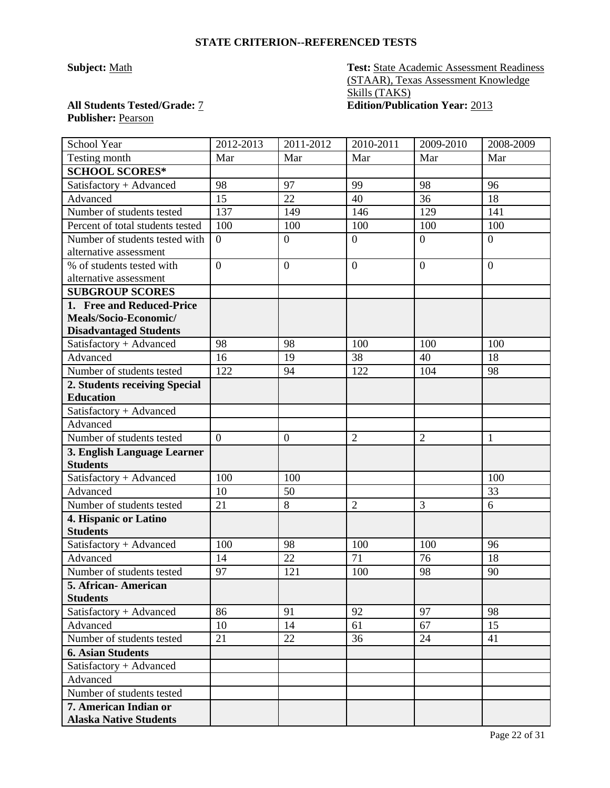## **STATE CRITERION--REFERENCED TESTS**

**Subject:** Math **Test:** State Academic Assessment Readiness (STAAR), Texas Assessment Knowledge Skills (TAKS) **All Students Tested/Grade:** 7 **Edition/Publication Year:** 2013

# **Publisher:** Pearson

| School Year                            | 2012-2013      | 2011-2012      | 2010-2011      | 2009-2010      | 2008-2009      |
|----------------------------------------|----------------|----------------|----------------|----------------|----------------|
| Testing month                          | Mar            | Mar            | Mar            | Mar            | Mar            |
| <b>SCHOOL SCORES*</b>                  |                |                |                |                |                |
| Satisfactory + Advanced                | 98             | 97             | 99             | 98             | 96             |
| Advanced                               | 15             | 22             | 40             | 36             | 18             |
| Number of students tested              | 137            | 149            | 146            | 129            | 141            |
| Percent of total students tested       | 100            | 100            | 100            | 100            | 100            |
| Number of students tested with         | $\theta$       | $\overline{0}$ | $\overline{0}$ | $\overline{0}$ | $\overline{0}$ |
| alternative assessment                 |                |                |                |                |                |
| % of students tested with              | $\overline{0}$ | $\overline{0}$ | $\mathbf{0}$   | $\overline{0}$ | $\overline{0}$ |
| alternative assessment                 |                |                |                |                |                |
| <b>SUBGROUP SCORES</b>                 |                |                |                |                |                |
| 1. Free and Reduced-Price              |                |                |                |                |                |
| Meals/Socio-Economic/                  |                |                |                |                |                |
| <b>Disadvantaged Students</b>          |                |                |                |                |                |
| Satisfactory + Advanced                | 98             | 98             | 100            | 100            | 100            |
| Advanced                               | 16             | 19             | 38             | 40             | 18             |
| Number of students tested              | 122            | 94             | 122            | 104            | 98             |
| 2. Students receiving Special          |                |                |                |                |                |
| <b>Education</b>                       |                |                |                |                |                |
| Satisfactory + Advanced                |                |                |                |                |                |
| Advanced                               |                |                |                |                |                |
| Number of students tested              | $\overline{0}$ | $\mathbf{0}$   | $\overline{2}$ | $\overline{2}$ | 1              |
| 3. English Language Learner            |                |                |                |                |                |
| <b>Students</b>                        |                |                |                |                |                |
| Satisfactory + Advanced                | 100            | 100            |                |                | 100            |
| Advanced                               | 10             | 50             |                |                | 33             |
| Number of students tested              | 21             | 8              | $\overline{2}$ | 3              | 6              |
| 4. Hispanic or Latino                  |                |                |                |                |                |
| <b>Students</b>                        |                |                |                |                |                |
| Satisfactory + Advanced                | 100            | 98             | 100            | 100            | 96             |
| Advanced                               | 14             | 22             | 71             | 76             | 18             |
| Number of students tested              | 97             | 121            | 100            | 98             | 90             |
| 5. African-American<br><b>Students</b> |                |                |                |                |                |
| Satisfactory + Advanced                | 86             | 91             | 92             | 97             | 98             |
| Advanced                               | 10             | 14             | 61             | 67             | 15             |
| Number of students tested              | 21             | 22             | 36             | 24             | 41             |
| <b>6. Asian Students</b>               |                |                |                |                |                |
| Satisfactory + Advanced                |                |                |                |                |                |
| Advanced                               |                |                |                |                |                |
| Number of students tested              |                |                |                |                |                |
| 7. American Indian or                  |                |                |                |                |                |
| <b>Alaska Native Students</b>          |                |                |                |                |                |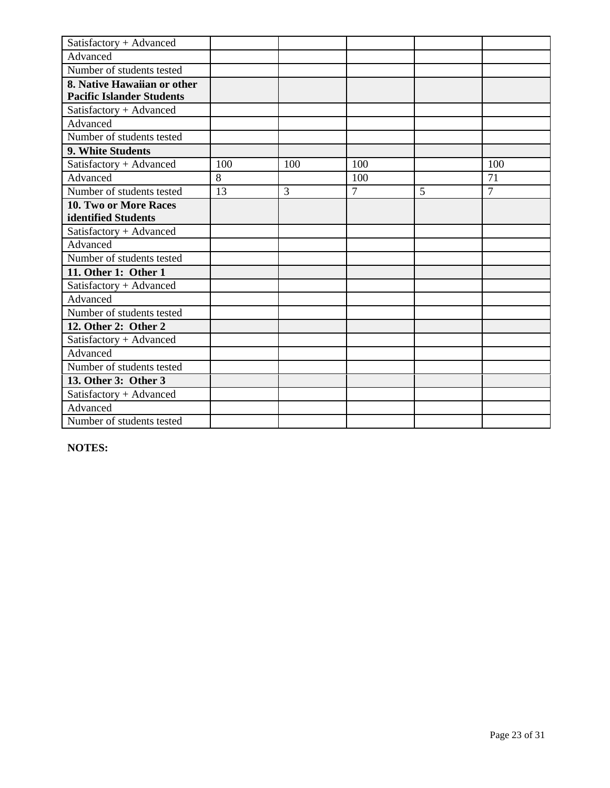| Satisfactory + Advanced          |     |     |                |   |                |
|----------------------------------|-----|-----|----------------|---|----------------|
| Advanced                         |     |     |                |   |                |
| Number of students tested        |     |     |                |   |                |
| 8. Native Hawaiian or other      |     |     |                |   |                |
| <b>Pacific Islander Students</b> |     |     |                |   |                |
| Satisfactory + Advanced          |     |     |                |   |                |
| Advanced                         |     |     |                |   |                |
| Number of students tested        |     |     |                |   |                |
| 9. White Students                |     |     |                |   |                |
| Satisfactory + Advanced          | 100 | 100 | 100            |   | 100            |
| Advanced                         | 8   |     | 100            |   | 71             |
| Number of students tested        | 13  | 3   | $\overline{7}$ | 5 | $\overline{7}$ |
| <b>10. Two or More Races</b>     |     |     |                |   |                |
| identified Students              |     |     |                |   |                |
| Satisfactory + Advanced          |     |     |                |   |                |
| Advanced                         |     |     |                |   |                |
| Number of students tested        |     |     |                |   |                |
| 11. Other 1: Other 1             |     |     |                |   |                |
| Satisfactory + Advanced          |     |     |                |   |                |
| Advanced                         |     |     |                |   |                |
| Number of students tested        |     |     |                |   |                |
| 12. Other 2: Other 2             |     |     |                |   |                |
| Satisfactory + Advanced          |     |     |                |   |                |
| Advanced                         |     |     |                |   |                |
| Number of students tested        |     |     |                |   |                |
| 13. Other 3: Other 3             |     |     |                |   |                |
| Satisfactory + Advanced          |     |     |                |   |                |
| Advanced                         |     |     |                |   |                |
| Number of students tested        |     |     |                |   |                |

**NOTES:**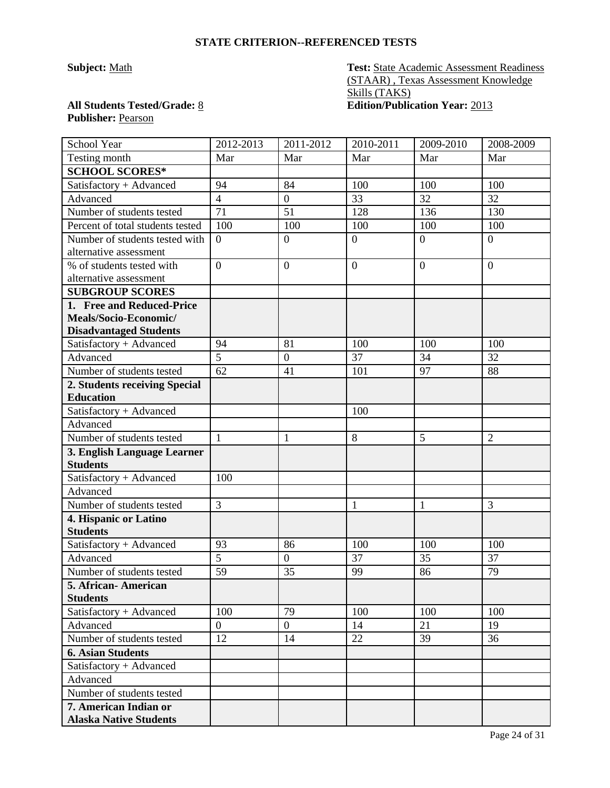## **STATE CRITERION--REFERENCED TESTS**

**Subject:** Math **Test:** State Academic Assessment Readiness (STAAR) , Texas Assessment Knowledge Skills (TAKS) **All Students Tested/Grade:** 8 **Edition/Publication Year:** 2013

# **Publisher:** Pearson

| School Year                            | 2012-2013       | 2011-2012        | 2010-2011      | 2009-2010      | 2008-2009      |
|----------------------------------------|-----------------|------------------|----------------|----------------|----------------|
| Testing month                          | Mar             | Mar              | Mar            | Mar            | Mar            |
| <b>SCHOOL SCORES*</b>                  |                 |                  |                |                |                |
| Satisfactory + Advanced                | 94              | 84               | 100            | 100            | 100            |
| Advanced                               | $\overline{4}$  | $\boldsymbol{0}$ | 33             | 32             | 32             |
| Number of students tested              | $\overline{71}$ | 51               | 128            | 136            | 130            |
| Percent of total students tested       | 100             | 100              | 100            | 100            | 100            |
| Number of students tested with         | $\overline{0}$  | $\boldsymbol{0}$ | $\overline{0}$ | $\overline{0}$ | $\overline{0}$ |
| alternative assessment                 |                 |                  |                |                |                |
| % of students tested with              | $\overline{0}$  | $\boldsymbol{0}$ | $\mathbf{0}$   | $\overline{0}$ | $\overline{0}$ |
| alternative assessment                 |                 |                  |                |                |                |
| <b>SUBGROUP SCORES</b>                 |                 |                  |                |                |                |
| 1. Free and Reduced-Price              |                 |                  |                |                |                |
| Meals/Socio-Economic/                  |                 |                  |                |                |                |
| <b>Disadvantaged Students</b>          |                 |                  |                |                |                |
| Satisfactory + Advanced                | 94              | 81               | 100            | 100            | 100            |
| Advanced                               | $\overline{5}$  | $\boldsymbol{0}$ | 37             | 34             | 32             |
| Number of students tested              | 62              | 41               | 101            | 97             | 88             |
| 2. Students receiving Special          |                 |                  |                |                |                |
| <b>Education</b>                       |                 |                  |                |                |                |
| Satisfactory + Advanced                |                 |                  | 100            |                |                |
| Advanced                               |                 |                  |                |                |                |
| Number of students tested              | $\mathbf{1}$    | 1                | 8              | 5              | $\overline{2}$ |
| 3. English Language Learner            |                 |                  |                |                |                |
| <b>Students</b>                        |                 |                  |                |                |                |
| Satisfactory + Advanced                | 100             |                  |                |                |                |
| Advanced                               |                 |                  |                |                |                |
| Number of students tested              | $\overline{3}$  |                  | $\mathbf{1}$   | $\mathbf{1}$   | 3              |
| 4. Hispanic or Latino                  |                 |                  |                |                |                |
| <b>Students</b>                        |                 |                  |                |                |                |
| Satisfactory + Advanced                | 93              | 86               | 100            | 100            | 100            |
| Advanced                               | $\overline{5}$  | $\boldsymbol{0}$ | 37             | 35             | 37             |
| Number of students tested              | $\overline{59}$ | 35               | 99             | 86             | 79             |
| 5. African-American<br><b>Students</b> |                 |                  |                |                |                |
| Satisfactory + Advanced                | 100             | 79               | 100            | 100            | 100            |
| Advanced                               | $\overline{0}$  | $\overline{0}$   | 14             | 21             | 19             |
| Number of students tested              | 12              | 14               | 22             | 39             | 36             |
| <b>6. Asian Students</b>               |                 |                  |                |                |                |
| Satisfactory + Advanced                |                 |                  |                |                |                |
| Advanced                               |                 |                  |                |                |                |
| Number of students tested              |                 |                  |                |                |                |
| 7. American Indian or                  |                 |                  |                |                |                |
| <b>Alaska Native Students</b>          |                 |                  |                |                |                |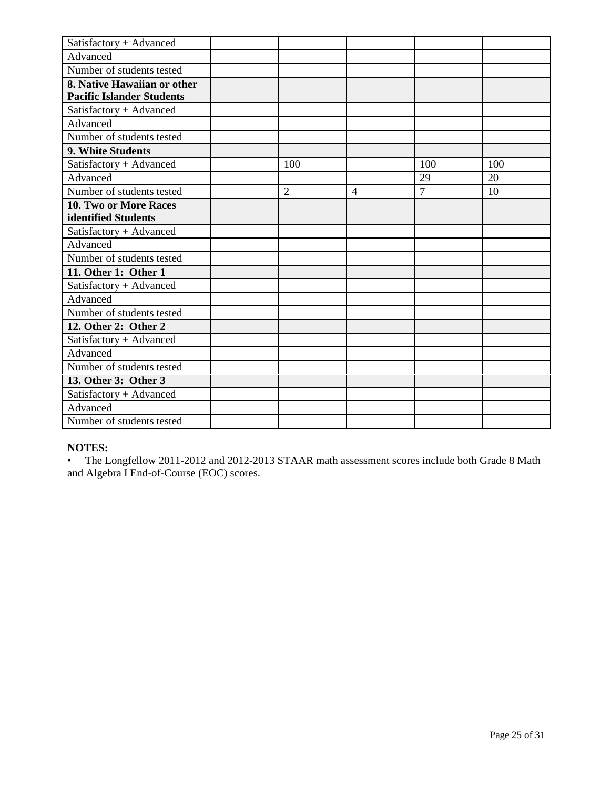| Satisfactory + Advanced          |                |                |                |     |
|----------------------------------|----------------|----------------|----------------|-----|
| Advanced                         |                |                |                |     |
| Number of students tested        |                |                |                |     |
| 8. Native Hawaiian or other      |                |                |                |     |
| <b>Pacific Islander Students</b> |                |                |                |     |
| Satisfactory + Advanced          |                |                |                |     |
| Advanced                         |                |                |                |     |
| Number of students tested        |                |                |                |     |
| 9. White Students                |                |                |                |     |
| Satisfactory + Advanced          | 100            |                | 100            | 100 |
| Advanced                         |                |                | 29             | 20  |
| Number of students tested        | $\overline{2}$ | $\overline{4}$ | $\overline{7}$ | 10  |
| <b>10. Two or More Races</b>     |                |                |                |     |
| identified Students              |                |                |                |     |
| Satisfactory + Advanced          |                |                |                |     |
| Advanced                         |                |                |                |     |
| Number of students tested        |                |                |                |     |
| 11. Other 1: Other 1             |                |                |                |     |
| Satisfactory + Advanced          |                |                |                |     |
| Advanced                         |                |                |                |     |
| Number of students tested        |                |                |                |     |
| 12. Other 2: Other 2             |                |                |                |     |
| Satisfactory + Advanced          |                |                |                |     |
| Advanced                         |                |                |                |     |
| Number of students tested        |                |                |                |     |
| 13. Other 3: Other 3             |                |                |                |     |
| Satisfactory + Advanced          |                |                |                |     |
| Advanced                         |                |                |                |     |
| Number of students tested        |                |                |                |     |

# **NOTES:**

• The Longfellow 2011-2012 and 2012-2013 STAAR math assessment scores include both Grade 8 Math and Algebra I End-of-Course (EOC) scores.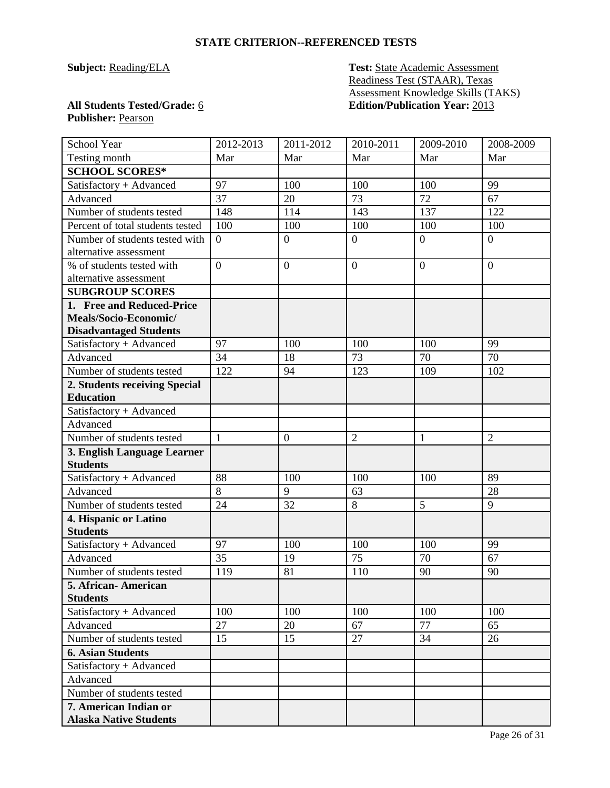## **STATE CRITERION--REFERENCED TESTS**

# **Subject: Reading/ELA Test: State Academic Assessment** Readiness Test (STAAR), Texas Assessment Knowledge Skills (TAKS) **All Students Tested/Grade:** 6 **Edition/Publication Year:** 2013

# **Publisher:** Pearson

| School Year                            | 2012-2013      | 2011-2012        | 2010-2011        | 2009-2010      | 2008-2009      |
|----------------------------------------|----------------|------------------|------------------|----------------|----------------|
| Testing month                          | Mar            | Mar              | Mar              | Mar            | Mar            |
| <b>SCHOOL SCORES*</b>                  |                |                  |                  |                |                |
| Satisfactory + Advanced                | 97             | 100              | 100              | 100            | 99             |
| Advanced                               | 37             | 20               | 73               | 72             | 67             |
| Number of students tested              | 148            | 114              | 143              | 137            | 122            |
| Percent of total students tested       | 100            | 100              | 100              | 100            | 100            |
| Number of students tested with         | $\overline{0}$ | $\overline{0}$   | $\boldsymbol{0}$ | $\overline{0}$ | $\overline{0}$ |
| alternative assessment                 |                |                  |                  |                |                |
| % of students tested with              | $\overline{0}$ | $\overline{0}$   | $\overline{0}$   | $\overline{0}$ | $\theta$       |
| alternative assessment                 |                |                  |                  |                |                |
| <b>SUBGROUP SCORES</b>                 |                |                  |                  |                |                |
| 1. Free and Reduced-Price              |                |                  |                  |                |                |
| Meals/Socio-Economic/                  |                |                  |                  |                |                |
| <b>Disadvantaged Students</b>          |                |                  |                  |                |                |
| Satisfactory + Advanced                | 97             | 100              | 100              | 100            | 99             |
| Advanced                               | 34             | 18               | 73               | 70             | 70             |
| Number of students tested              | 122            | 94               | 123              | 109            | 102            |
| 2. Students receiving Special          |                |                  |                  |                |                |
| <b>Education</b>                       |                |                  |                  |                |                |
| Satisfactory + Advanced                |                |                  |                  |                |                |
| Advanced                               |                |                  |                  |                |                |
| Number of students tested              | $\mathbf{1}$   | $\boldsymbol{0}$ | $\overline{2}$   | $\mathbf{1}$   | $\overline{2}$ |
| 3. English Language Learner            |                |                  |                  |                |                |
| <b>Students</b>                        |                |                  |                  |                |                |
| Satisfactory + Advanced                | 88             | 100              | 100              | 100            | 89             |
| Advanced                               | 8              | 9                | 63               |                | 28             |
| Number of students tested              | 24             | 32               | 8                | $\overline{5}$ | 9              |
| 4. Hispanic or Latino                  |                |                  |                  |                |                |
| <b>Students</b>                        |                |                  |                  |                |                |
| Satisfactory + Advanced                | 97             | 100              | 100              | 100            | 99             |
| Advanced                               | 35             | 19               | 75               | 70             | 67             |
| Number of students tested<br>Г         | 119            | 81               | 110              | 90             | 90             |
| 5. African-American<br><b>Students</b> |                |                  |                  |                |                |
| Satisfactory + Advanced                | 100            | 100              | 100              | 100            | 100            |
| Advanced                               | 27             | 20               | 67               | 77             | 65             |
| Number of students tested              | 15             | 15               | 27               | 34             | 26             |
| <b>6. Asian Students</b>               |                |                  |                  |                |                |
| Satisfactory + Advanced                |                |                  |                  |                |                |
| Advanced                               |                |                  |                  |                |                |
| Number of students tested              |                |                  |                  |                |                |
| 7. American Indian or                  |                |                  |                  |                |                |
| <b>Alaska Native Students</b>          |                |                  |                  |                |                |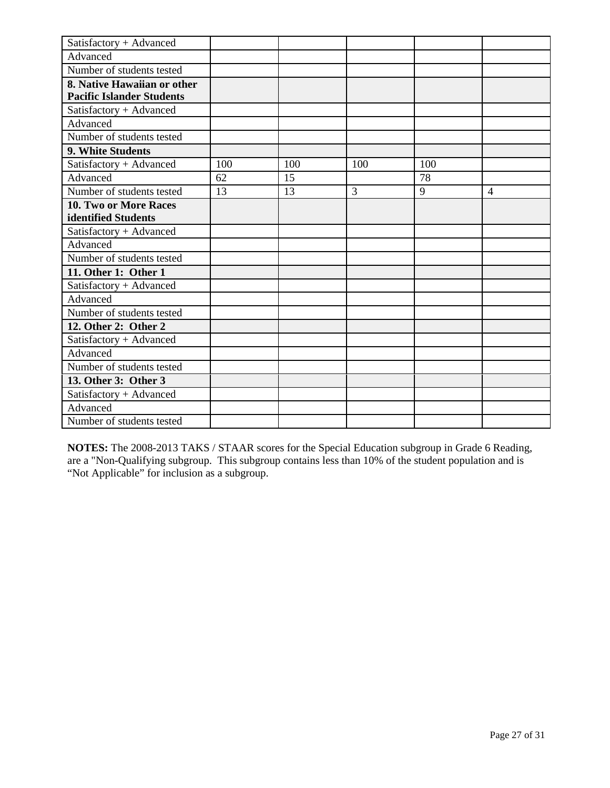| Satisfactory + Advanced          |     |     |     |     |                |
|----------------------------------|-----|-----|-----|-----|----------------|
| Advanced                         |     |     |     |     |                |
| Number of students tested        |     |     |     |     |                |
| 8. Native Hawaiian or other      |     |     |     |     |                |
| <b>Pacific Islander Students</b> |     |     |     |     |                |
| Satisfactory + Advanced          |     |     |     |     |                |
| Advanced                         |     |     |     |     |                |
| Number of students tested        |     |     |     |     |                |
| 9. White Students                |     |     |     |     |                |
| Satisfactory + Advanced          | 100 | 100 | 100 | 100 |                |
| Advanced                         | 62  | 15  |     | 78  |                |
| Number of students tested        | 13  | 13  | 3   | 9   | $\overline{4}$ |
| 10. Two or More Races            |     |     |     |     |                |
| identified Students              |     |     |     |     |                |
| Satisfactory + Advanced          |     |     |     |     |                |
| Advanced                         |     |     |     |     |                |
| Number of students tested        |     |     |     |     |                |
| 11. Other 1: Other 1             |     |     |     |     |                |
| Satisfactory + Advanced          |     |     |     |     |                |
| Advanced                         |     |     |     |     |                |
| Number of students tested        |     |     |     |     |                |
| 12. Other 2: Other 2             |     |     |     |     |                |
| Satisfactory + Advanced          |     |     |     |     |                |
| Advanced                         |     |     |     |     |                |
| Number of students tested        |     |     |     |     |                |
| 13. Other 3: Other 3             |     |     |     |     |                |
| Satisfactory + Advanced          |     |     |     |     |                |
| Advanced                         |     |     |     |     |                |
| Number of students tested        |     |     |     |     |                |

**NOTES:** The 2008-2013 TAKS / STAAR scores for the Special Education subgroup in Grade 6 Reading, are a "Non-Qualifying subgroup. This subgroup contains less than 10% of the student population and is "Not Applicable" for inclusion as a subgroup.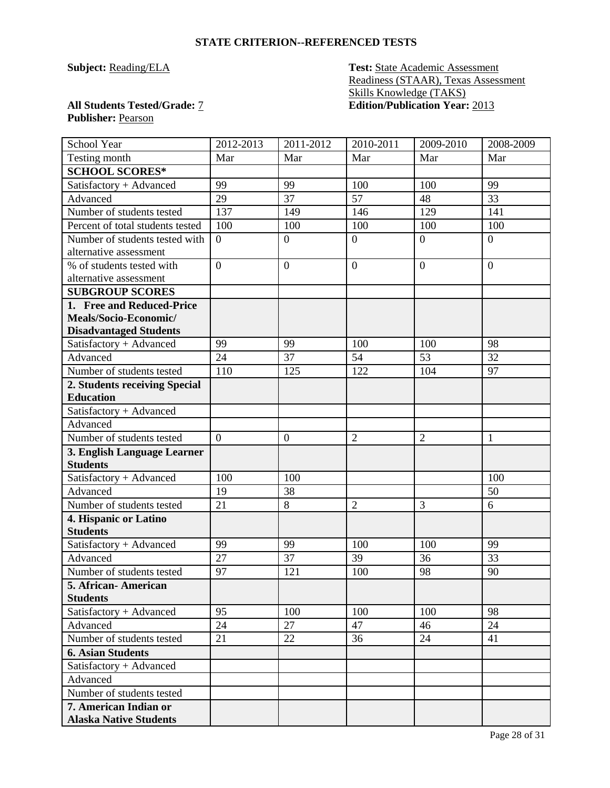## **STATE CRITERION--REFERENCED TESTS**

**Subject: Reading/ELA Test: State Academic Assessment** Readiness (STAAR), Texas Assessment Skills Knowledge (TAKS) **All Students Tested/Grade:** 7 **Edition/Publication Year:** 2013

# **Publisher:** Pearson

| School Year                            | 2012-2013      | 2011-2012        | 2010-2011      | 2009-2010      | 2008-2009        |
|----------------------------------------|----------------|------------------|----------------|----------------|------------------|
| Testing month                          | Mar            | Mar              | Mar            | Mar            | Mar              |
| <b>SCHOOL SCORES*</b>                  |                |                  |                |                |                  |
| Satisfactory + Advanced                | 99             | 99               | 100            | 100            | 99               |
| Advanced                               | 29             | 37               | 57             | 48             | 33               |
| Number of students tested              | 137            | 149              | 146            | 129            | 141              |
| Percent of total students tested       | 100            | 100              | 100            | 100            | 100              |
| Number of students tested with         | $\theta$       | $\boldsymbol{0}$ | $\overline{0}$ | $\overline{0}$ | $\boldsymbol{0}$ |
| alternative assessment                 |                |                  |                |                |                  |
| % of students tested with              | $\overline{0}$ | $\overline{0}$   | $\overline{0}$ | $\overline{0}$ | $\overline{0}$   |
| alternative assessment                 |                |                  |                |                |                  |
| <b>SUBGROUP SCORES</b>                 |                |                  |                |                |                  |
| 1. Free and Reduced-Price              |                |                  |                |                |                  |
| Meals/Socio-Economic/                  |                |                  |                |                |                  |
| <b>Disadvantaged Students</b>          |                |                  |                |                |                  |
| Satisfactory + Advanced                | 99             | 99               | 100            | 100            | 98               |
| Advanced                               | 24             | 37               | 54             | 53             | 32               |
| Number of students tested              | 110            | 125              | 122            | 104            | 97               |
| 2. Students receiving Special          |                |                  |                |                |                  |
| <b>Education</b>                       |                |                  |                |                |                  |
| Satisfactory + Advanced                |                |                  |                |                |                  |
| Advanced                               |                |                  |                |                |                  |
| Number of students tested              | $\overline{0}$ | $\boldsymbol{0}$ | $\overline{2}$ | $\overline{2}$ | 1                |
| 3. English Language Learner            |                |                  |                |                |                  |
| <b>Students</b>                        |                |                  |                |                |                  |
| Satisfactory + Advanced                | 100            | 100              |                |                | 100              |
| Advanced                               | 19             | 38               |                |                | 50               |
| Number of students tested              | 21             | 8                | $\overline{2}$ | 3              | 6                |
| 4. Hispanic or Latino                  |                |                  |                |                |                  |
| <b>Students</b>                        |                |                  |                |                |                  |
| Satisfactory + Advanced                | 99             | 99               | 100            | 100            | 99               |
| Advanced                               | 27             | 37               | 39             | 36             | 33               |
| Number of students tested              | 97             | 121              | 100            | 98             | 90               |
| 5. African-American<br><b>Students</b> |                |                  |                |                |                  |
| Satisfactory + Advanced                | 95             | 100              | 100            | 100            | 98               |
| Advanced                               | 24             | 27               | 47             | 46             | 24               |
| Number of students tested              | 21             | 22               | 36             | 24             | 41               |
| <b>6. Asian Students</b>               |                |                  |                |                |                  |
| Satisfactory + Advanced                |                |                  |                |                |                  |
| Advanced                               |                |                  |                |                |                  |
| Number of students tested              |                |                  |                |                |                  |
| 7. American Indian or                  |                |                  |                |                |                  |
| <b>Alaska Native Students</b>          |                |                  |                |                |                  |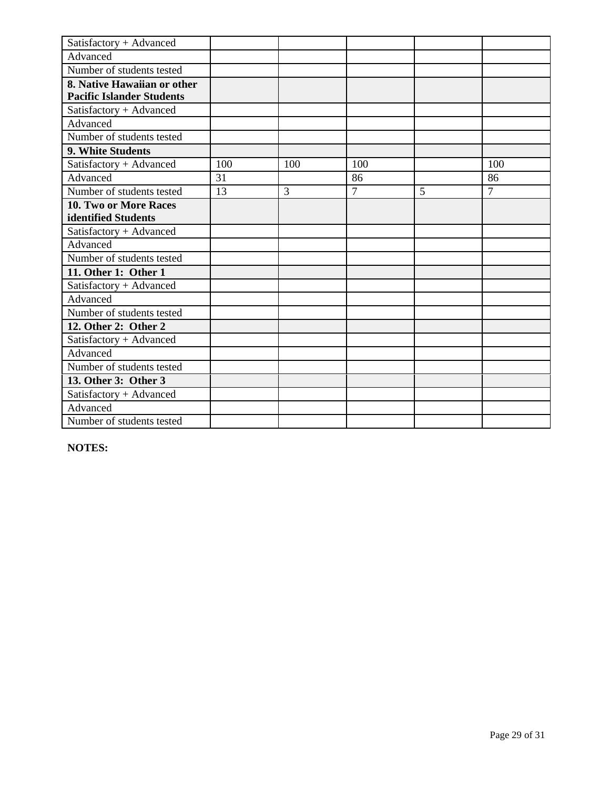| Satisfactory + Advanced          |     |     |                |   |                |
|----------------------------------|-----|-----|----------------|---|----------------|
| Advanced                         |     |     |                |   |                |
| Number of students tested        |     |     |                |   |                |
| 8. Native Hawaiian or other      |     |     |                |   |                |
| <b>Pacific Islander Students</b> |     |     |                |   |                |
| Satisfactory + Advanced          |     |     |                |   |                |
| Advanced                         |     |     |                |   |                |
| Number of students tested        |     |     |                |   |                |
| 9. White Students                |     |     |                |   |                |
| Satisfactory + Advanced          | 100 | 100 | 100            |   | 100            |
| Advanced                         | 31  |     | 86             |   | 86             |
| Number of students tested        | 13  | 3   | $\overline{7}$ | 5 | $\overline{7}$ |
| <b>10. Two or More Races</b>     |     |     |                |   |                |
| identified Students              |     |     |                |   |                |
| Satisfactory + Advanced          |     |     |                |   |                |
| Advanced                         |     |     |                |   |                |
| Number of students tested        |     |     |                |   |                |
| 11. Other 1: Other 1             |     |     |                |   |                |
| Satisfactory + Advanced          |     |     |                |   |                |
| Advanced                         |     |     |                |   |                |
| Number of students tested        |     |     |                |   |                |
| 12. Other 2: Other 2             |     |     |                |   |                |
| Satisfactory + Advanced          |     |     |                |   |                |
| Advanced                         |     |     |                |   |                |
| Number of students tested        |     |     |                |   |                |
| 13. Other 3: Other 3             |     |     |                |   |                |
| Satisfactory + Advanced          |     |     |                |   |                |
| Advanced                         |     |     |                |   |                |
| Number of students tested        |     |     |                |   |                |

**NOTES:**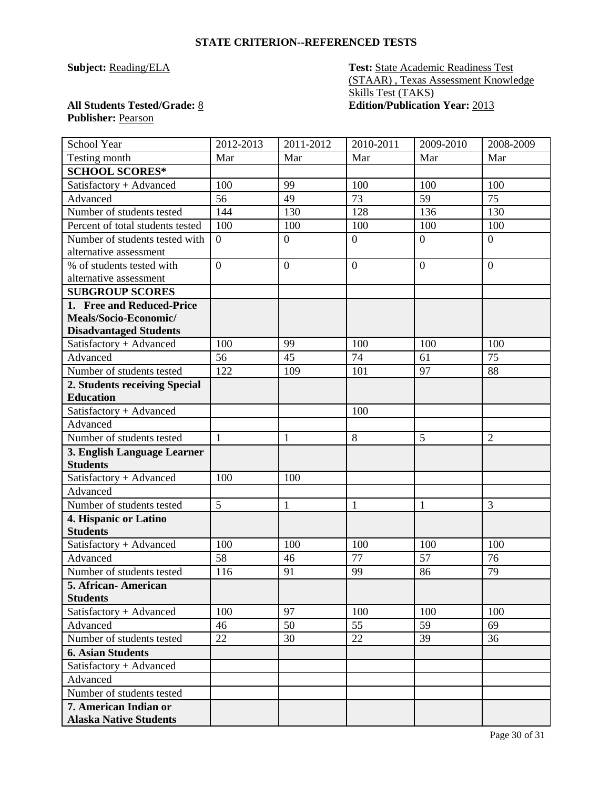## **STATE CRITERION--REFERENCED TESTS**

**Subject: Reading/ELA Test: State Academic Readiness Test** (STAAR) , Texas Assessment Knowledge Skills Test (TAKS) **All Students Tested/Grade:** 8 **Edition/Publication Year:** 2013

# **Publisher:** Pearson

| School Year                              | 2012-2013      | 2011-2012        | 2010-2011        | 2009-2010        | 2008-2009        |
|------------------------------------------|----------------|------------------|------------------|------------------|------------------|
| Testing month                            | Mar            | Mar              | Mar              | Mar              | Mar              |
| <b>SCHOOL SCORES*</b>                    |                |                  |                  |                  |                  |
| Satisfactory + Advanced                  | 100            | 99               | 100              | 100              | 100              |
| Advanced                                 | 56             | 49               | 73               | 59               | 75               |
| Number of students tested                | 144            | 130              | 128              | 136              | 130              |
| Percent of total students tested         | 100            | 100              | 100              | 100              | 100              |
| Number of students tested with           | $\overline{0}$ | $\boldsymbol{0}$ | $\boldsymbol{0}$ | $\boldsymbol{0}$ | $\boldsymbol{0}$ |
| alternative assessment                   |                |                  |                  |                  |                  |
| % of students tested with                | $\overline{0}$ | $\overline{0}$   | $\overline{0}$   | $\overline{0}$   | $\overline{0}$   |
| alternative assessment                   |                |                  |                  |                  |                  |
| <b>SUBGROUP SCORES</b>                   |                |                  |                  |                  |                  |
| 1. Free and Reduced-Price                |                |                  |                  |                  |                  |
| Meals/Socio-Economic/                    |                |                  |                  |                  |                  |
| <b>Disadvantaged Students</b>            |                |                  |                  |                  |                  |
| Satisfactory + Advanced                  | 100            | 99               | 100              | 100              | 100              |
| Advanced                                 | 56             | 45               | 74               | 61               | 75               |
| Number of students tested                | 122            | 109              | 101              | 97               | 88               |
| 2. Students receiving Special            |                |                  |                  |                  |                  |
| <b>Education</b>                         |                |                  |                  |                  |                  |
| Satisfactory + Advanced                  |                |                  | 100              |                  |                  |
| Advanced                                 |                |                  |                  |                  |                  |
| Number of students tested                | $\mathbf{1}$   | $\mathbf{1}$     | 8                | 5                | $\overline{2}$   |
| 3. English Language Learner              |                |                  |                  |                  |                  |
| <b>Students</b>                          |                |                  |                  |                  |                  |
| Satisfactory + Advanced                  | 100            | 100              |                  |                  |                  |
| Advanced                                 |                |                  |                  |                  |                  |
| Number of students tested                | $\overline{5}$ | $\mathbf{1}$     | $\mathbf{1}$     | $\mathbf{1}$     | 3                |
| 4. Hispanic or Latino                    |                |                  |                  |                  |                  |
| <b>Students</b>                          |                |                  |                  |                  |                  |
| Satisfactory + Advanced                  | 100            | 100              | 100              | 100              | 100              |
| Advanced                                 | 58             | 46               | 77               | 57               | 76               |
| Number of students tested                | 116            | 91               | 99               | 86               | 79               |
| 5. African - American<br><b>Students</b> |                |                  |                  |                  |                  |
| Satisfactory + Advanced                  | 100            | 97               | 100              | 100              | 100              |
| Advanced                                 | 46             | 50               | 55               | 59               | 69               |
| Number of students tested                | 22             | 30               | 22               | 39               | 36               |
| <b>6. Asian Students</b>                 |                |                  |                  |                  |                  |
| Satisfactory + Advanced                  |                |                  |                  |                  |                  |
| Advanced                                 |                |                  |                  |                  |                  |
| Number of students tested                |                |                  |                  |                  |                  |
| 7. American Indian or                    |                |                  |                  |                  |                  |
| <b>Alaska Native Students</b>            |                |                  |                  |                  |                  |